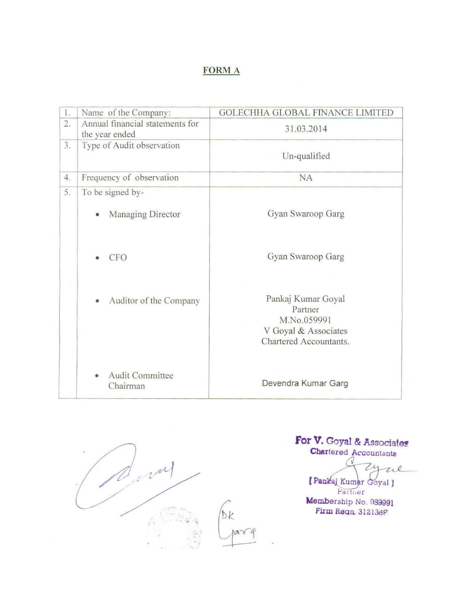## **FORMA**

| 1.               | Name of the Company:                              | <b>GOLECHHA GLOBAL FINANCE LIMITED</b>                               |
|------------------|---------------------------------------------------|----------------------------------------------------------------------|
| $\overline{2}$ . | Annual financial statements for<br>the year ended | 31.03.2014                                                           |
| 3.               | Type of Audit observation                         | Un-qualified                                                         |
| 4.               | Frequency of observation                          | <b>NA</b>                                                            |
| 5.               | To be signed by-                                  |                                                                      |
|                  | Managing Director                                 | Gyan Swaroop Garg                                                    |
|                  | <b>CFO</b>                                        | Gyan Swaroop Garg                                                    |
|                  | Auditor of the Company                            | Pankaj Kumar Goyal<br>Partner<br>M.No.059991<br>V Goyal & Associates |
|                  | Audit Committee<br>Chairman                       | Chartered Accountants.<br>Devendra Kumar Garg                        |



 $Dk$  $\hat{q}$ 

# For V. Goyal & Associates<br>Chartered Accountants

 $\sqrt{2}$  $\overline{24}$ We Pankaj Kumar Goyal J

Partner Membership No. 059991 Firm Regn. 312136F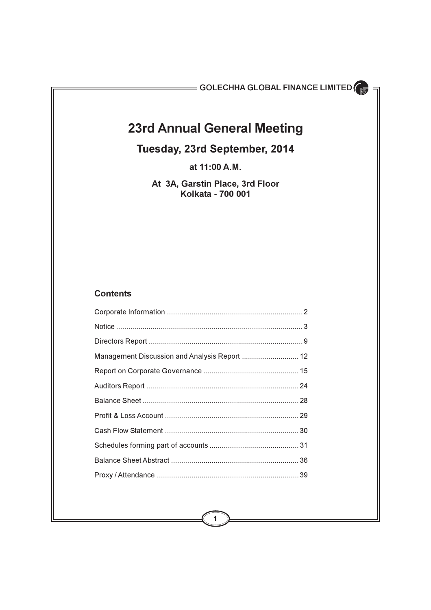## **23rd Annual General Meeting**

## Tuesday, 23rd September, 2014

at 11:00 A.M.

At 3A, Garstin Place, 3rd Floor Kolkata - 700 001

## **Contents**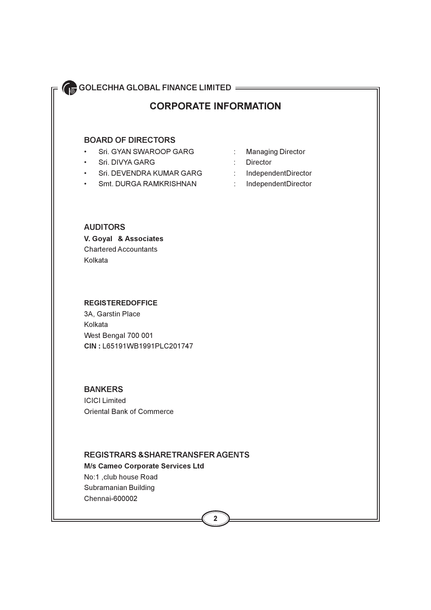## **CORPORATE INFORMATION**

### **BOARD OF DIRECTORS**

- Sri. GYAN SWAROOP GARG  $\bullet$  .
- $\bullet$  . Sri, DIVYA GARG
- Sri. DEVENDRA KUMAR GARG  $\bullet$  .
- Smt. DURGA RAMKRISHNAN  $\bullet$  .
- **Managing Director**  $\mathbb{C}^{\times}$
- $\mathbb{R}^{\mathbb{Z}}$ **Director**
- $\mathbb{Z}^{\times}$ IndependentDirector
- $\mathcal{L}^{\mathcal{L}}$ IndependentDirector

### **AUDITORS**

V. Goyal & Associates **Chartered Accountants** Kolkata

### **REGISTEREDOFFICE**

3A, Garstin Place Kolkata West Bengal 700 001 CIN: L65191WB1991PLC201747

### **BANKERS**

**ICICI Limited Oriental Bank of Commerce** 

### **REGISTRARS & SHARETRANSFER AGENTS**

**M/s Cameo Corporate Services Ltd** No:1, club house Road Subramanian Building Chennai-600002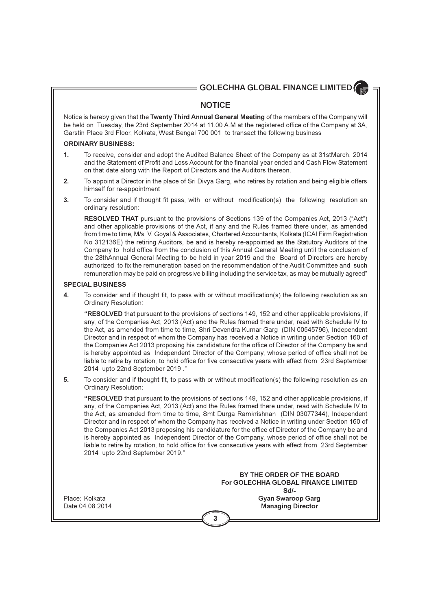### **NOTICE**

Notice is hereby given that the Twenty Third Annual General Meeting of the members of the Company will be held on Tuesday, the 23rd September 2014 at 11.00 A.M at the registered office of the Company at 3A. Garstin Place 3rd Floor, Kolkata, West Bengal 700 001 to transact the following business

### **ORDINARY BUSINESS:**

- $\mathbf{1}$ To receive, consider and adopt the Audited Balance Sheet of the Company as at 31stMarch, 2014 and the Statement of Profit and Loss Account for the financial year ended and Cash Flow Statement on that date along with the Report of Directors and the Auditors thereon.
- $2.$ To appoint a Director in the place of Sri Divya Garg, who retires by rotation and being eligible offers himself for re-appointment
- $3.$ To consider and if thought fit pass, with or without modification(s) the following resolution an ordinary resolution:

RESOLVED THAT pursuant to the provisions of Sections 139 of the Companies Act. 2013 ("Act") and other applicable provisions of the Act, if any and the Rules framed there under, as amended from time to time, M/s. V. Goyal & Associates, Chartered Accountants, Kolkata (ICAI Firm Registration No 312136E) the retiring Auditors, be and is hereby re-appointed as the Statutory Auditors of the Company to hold office from the conclusion of this Annual General Meeting until the conclusion of the 28thAnnual General Meeting to be held in year 2019 and the Board of Directors are hereby authorized to fix the remuneration based on the recommendation of the Audit Committee and such remuneration may be paid on progressive billing including the service tax, as may be mutually agreed"

### **SPECIAL BUSINESS**

To consider and if thought fit, to pass with or without modification(s) the following resolution as an 4. **Ordinary Resolution:** 

"RESOLVED that pursuant to the provisions of sections 149, 152 and other applicable provisions, if any, of the Companies Act, 2013 (Act) and the Rules framed there under, read with Schedule IV to the Act, as amended from time to time, Shri Devendra Kumar Garg (DIN 00545796), Independent Director and in respect of whom the Company has received a Notice in writing under Section 160 of the Companies Act 2013 proposing his candidature for the office of Director of the Company be and is hereby appointed as Independent Director of the Company, whose period of office shall not be liable to retire by rotation, to hold office for five consecutive years with effect from 23rd September 2014 upto 22nd September 2019."

5. To consider and if thought fit, to pass with or without modification(s) the following resolution as an Ordinary Resolution:

"RESOLVED that pursuant to the provisions of sections 149, 152 and other applicable provisions, if any, of the Companies Act, 2013 (Act) and the Rules framed there under, read with Schedule IV to the Act, as amended from time to time, Smt Durga Ramkrishnan (DIN 03077344), Independent Director and in respect of whom the Company has received a Notice in writing under Section 160 of the Companies Act 2013 proposing his candidature for the office of Director of the Company be and is hereby appointed as Independent Director of the Company, whose period of office shall not be liable to retire by rotation, to hold office for five consecutive years with effect from 23rd September 2014 upto 22nd September 2019."

> BY THE ORDER OF THE BOARD For GOLECHHA GLOBAL FINANCE LIMITED Sd/-**Gyan Swaroop Garg Managing Director**

Place: Kolkata Date: 04.08.2014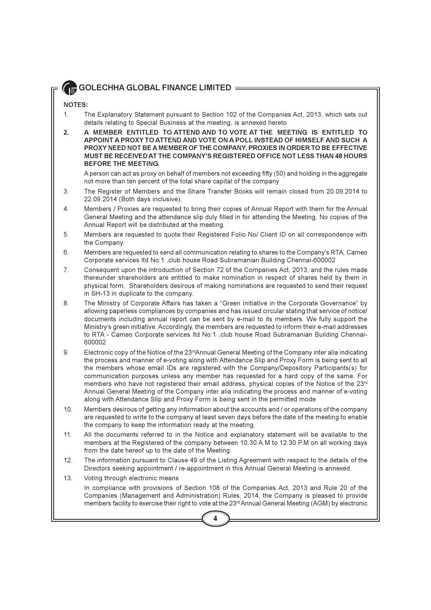### NOTES:

- $1.$ The Explanatory Statement pursuant to Section 102 of the Companies Act, 2013, which sets out details relating to Special Business at the meeting, is annexed hereto
- $2.$ A MEMBER ENTITLED TO ATTEND AND TO VOTE AT THE MEETING IS ENTITLED TO APPOINT A PROXY TO ATTEND AND VOTE ON A POLL INSTEAD OF HIMSELF AND SUCH A PROXY NEED NOT BE A MEMBER OF THE COMPANY, PROXIES IN ORDER TO BE EFFECTIVE MUST BE RECEIVED AT THE COMPANY'S REGISTERED OFFICE NOT LESS THAN 48 HOURS **BEFORE THE MEETING.**

A person can act as proxy on behalf of members not exceeding fifty (50) and holding in the aggregate not more than ten percent of the total share capital of the company

- The Register of Members and the Share Transfer Books will remain closed from 20.09.2014 to 3. 22.09.2014 (Both days inclusive).
- $\overline{4}$ . Members / Proxies are requested to bring their copies of Annual Report with them for the Annual General Meeting and the attendance slip duly filled in for attending the Meeting. No copies of the Annual Report will be distributed at the meeting.
- 5. Members are requested to quote their Registered Folio No/ Client ID on all correspondence with the Company.
- 6. Members are requested to send all communication relating to shares to the Company's RTA, Cameo Corporate services Itd No:1, club house Road Subramanian Building Chennai-600002
- $\overline{7}$ Consequent upon the introduction of Section 72 of the Companies Act, 2013, and the rules made thereunder shareholders are entitled to make nomination in respect of shares held by them in physical form. Shareholders desirous of making nominations are requested to send their request in SH-13 in duplicate to the company.
- The Ministry of Corporate Affairs has taken a "Green Initiative in the Corporate Governance" by 8. allowing paperless compliances by companies and has issued circular stating that service of notice/ documents including annual report can be sent by e-mail to its members. We fully support the Ministry's green initiative. Accordingly, the members are requested to inform their e-mail addresses to RTA - Cameo Corporate services Itd No:1, club house Road Subramanian Building Chennai-600002
- 9. Electronic copy of the Notice of the 23<sup>rd</sup>Annual General Meeting of the Company inter alia indicating the process and manner of e-voting along with Attendance Slip and Proxy Form is being sent to all the members whose email IDs are registered with the Company/Depository Participants(s) for communication purposes unless any member has requested for a hard copy of the same. For members who have not registered their email address, physical copies of the Notice of the 23rd Annual General Meeting of the Company inter alia indicating the process and manner of e-voting along with Attendance Slip and Proxy Form is being sent in the permitted mode
- Members desirous of getting any information about the accounts and / or operations of the company 10. are requested to write to the company at least seven days before the date of the meeting to enable the company to keep the information ready at the meeting.
- All the documents referred to in the Notice and explanatory statement will be available to the  $11.$ members at the Registered of the company between 10.30 A.M to 12.30 P.M on all working days from the date hereof up to the date of the Meeting.
- The information pursuant to Clause 49 of the Listing Agreement with respect to the details of the  $12<sup>°</sup>$ Directors seeking appointment / re-appointment in this Annual General Meeting is annexed.
- $13.$ Voting through electronic means

In compliance with provisions of Section 108 of the Companies Act, 2013 and Rule 20 of the Companies (Management and Administration) Rules, 2014, the Company is pleased to provide members facility to exercise their right to vote at the 23<sup>rd</sup> Annual General Meeting (AGM) by electronic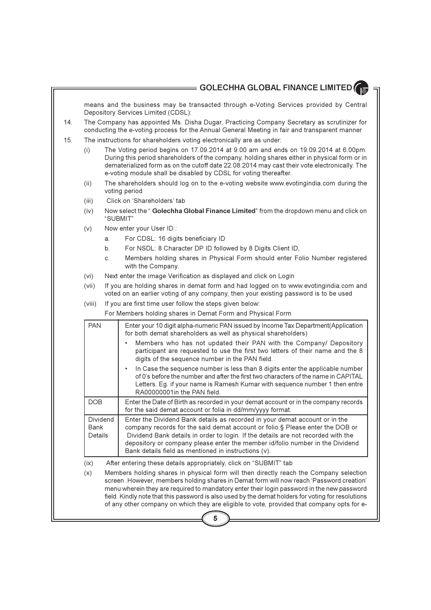means and the business may be transacted through e-Voting Services provided by Central Depository Services Limited (CDSL):

- 14. The Company has appointed Ms. Disha Dugar, Practicing Company Secretary as scrutinizer for conducting the e-voting process for the Annual General Meeting in fair and transparent manner
- $15.$ The instructions for shareholders voting electronically are as under:
	- The Voting period begins on 17.09.2014 at 9.00 am and ends on 19.09.2014 at 6.00pm.  $(i)$ During this period shareholders of the company, holding shares either in physical form or in dematerialized form as on the cutoff date 22.08.2014 may cast their vote electronically. The e-voting module shall be disabled by CDSL for voting thereafter.
	- The shareholders should log on to the e-voting website www.evotingindia.com during the  $(ii)$ voting period
	- $(iii)$ Click on 'Shareholders' tab
	- Now select the "Golechha Global Finance Limited" from the dropdown menu and click on  $(iv)$ "SUBMIT"
	- Now enter your User ID:  $(V)$ 
		- For CDSL: 16 digits beneficiary ID a.
		- For NSDL: 8 Character DP ID followed by 8 Digits Client ID, b.
		- Members holding shares in Physical Form should enter Folio Number registered  $\mathbf{C}$ with the Company.
	- Next enter the image Verification as displayed and click on Login  $(vi)$
	- If you are holding shares in demat form and had logged on to www.evotingindia.com and  $(vii)$ voted on an earlier voting of any company, then your existing password is to be used
	- $(viii)$ If you are first time user follow the steps given below:

For Members holding shares in Demat Form and Physical Form

| <b>PAN</b>                  | Enter your 10 digit alpha-numeric PAN issued by Income Tax Department(Application<br>for both demat shareholders as well as physical shareholders)                                                                                                                                                                                                                                         |
|-----------------------------|--------------------------------------------------------------------------------------------------------------------------------------------------------------------------------------------------------------------------------------------------------------------------------------------------------------------------------------------------------------------------------------------|
|                             | Members who has not updated their PAN with the Company/ Depository<br>٠<br>participant are requested to use the first two letters of their name and the 8<br>digits of the sequence number in the PAN field.                                                                                                                                                                               |
|                             | In Case the sequence number is less than 8 digits enter the applicable number<br>$\bullet$<br>of 0's before the number and after the first two characters of the name in CAPITAL<br>Letters. Eg. if your name is Ramesh Kumar with sequence number 1 then entre<br>RA00000001in the PAN field.                                                                                             |
| DOB                         | Enter the Date of Birth as recorded in your demat account or in the company records<br>for the said demat account or folia in dd/mm/yyyy format.                                                                                                                                                                                                                                           |
| Dividend<br>Bank<br>Details | Enter the Dividend Bank details as recorded in your demat account or in the<br>company records for the said demat account or folio.§ Please enter the DOB or<br>Dividend Bank details in order to login. If the details are not recorded with the<br>depository or company please enter the member id/folio number in the Dividend<br>Bank details field as mentioned in instructions (v). |
| $(i \vee)$                  | After optaring those datails appropriately oliek on "SLIDMIT" tab                                                                                                                                                                                                                                                                                                                          |

 $(IX)$ After entering these details appropriately, click on "SUBMIT" tab

Members holding shares in physical form will then directly reach the Company selection  $(x)$ screen . However, members holding shares in Demat form will now reach 'Password creation' menu wherein they are required to mandatory enter their login password in the new password field. Kindly note that this password is also used by the demat holders for voting for resolutions of any other company on which they are eligible to vote, provided that company opts for e-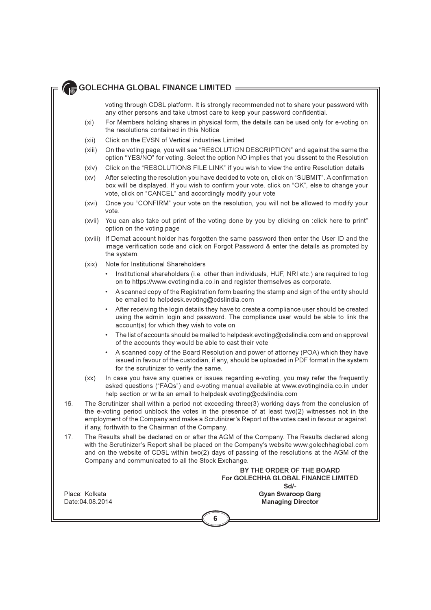voting through CDSL platform. It is strongly recommended not to share your password with any other persons and take utmost care to keep your password confidential.

- For Members holding shares in physical form, the details can be used only for e-voting on  $(xi)$ the resolutions contained in this Notice
- Click on the FVSN of Vertical industries I imited  $(xii)$
- On the voting page, you will see "RESOLUTION DESCRIPTION" and against the same the  $(xiii)$ option "YES/NO" for voting. Select the option NO implies that you dissent to the Resolution
- Click on the "RESOLUTIONS FILE LINK" if you wish to view the entire Resolution details  $(xiv)$
- After selecting the resolution you have decided to vote on, click on "SUBMIT". A confirmation  $(xv)$ box will be displayed. If you wish to confirm your vote, click on "OK", else to change your vote, click on "CANCEL" and accordingly modify your vote
- Once you "CONFIRM" your vote on the resolution, you will not be allowed to modify your  $(xvi)$ vote.
- You can also take out print of the voting done by you by clicking on :click here to print" (xvii) option on the voting page
- (xviii) If Demat account holder has forgotten the same password then enter the User ID and the image verification code and click on Forgot Password & enter the details as prompted by the system.
- Note for Institutional Shareholders  $(xix)$ 
	- Institutional shareholders (i.e. other than individuals, HUF, NRI etc.) are required to log on to https://www.evotingindia.co.in and register themselves as corporate.
	- A scanned copy of the Registration form bearing the stamp and sign of the entity should be emailed to helpdesk evoting@cdslindia.com
	- After receiving the login details they have to create a compliance user should be created using the admin login and password. The compliance user would be able to link the account(s) for which they wish to vote on
	- The list of accounts should be mailed to helpdesk evoting@cdslindia.com and on approval of the accounts they would be able to cast their vote
	- A scanned copy of the Board Resolution and power of attorney (POA) which they have issued in favour of the custodian, if any, should be uploaded in PDF format in the system for the scrutinizer to verify the same.
- $(xx)$ In case you have any queries or issues regarding e-voting, you may refer the frequently asked questions ("FAQs") and e-voting manual available at www.evotingindia.co.in under help section or write an email to helpdesk evoting@cdslindia.com
- $16$ The Scrutinizer shall within a period not exceeding three(3) working days from the conclusion of the e-voting period unblock the votes in the presence of at least two(2) witnesses not in the employment of the Company and make a Scrutinizer's Report of the votes cast in favour or against, if any, forthwith to the Chairman of the Company.
- $17$ The Results shall be declared on or after the AGM of the Company. The Results declared along with the Scrutinizer's Report shall be placed on the Company's website www.golechhaglobal.com and on the website of CDSL within two(2) days of passing of the resolutions at the AGM of the Company and communicated to all the Stock Exchange.

BY THE ORDER OF THE BOARD For GOLECHHA GLOBAL FINANCE LIMITED  $Sd$ -**Gyan Swaroop Garg Managing Director** 

Place: Kolkata Date: 04.08.2014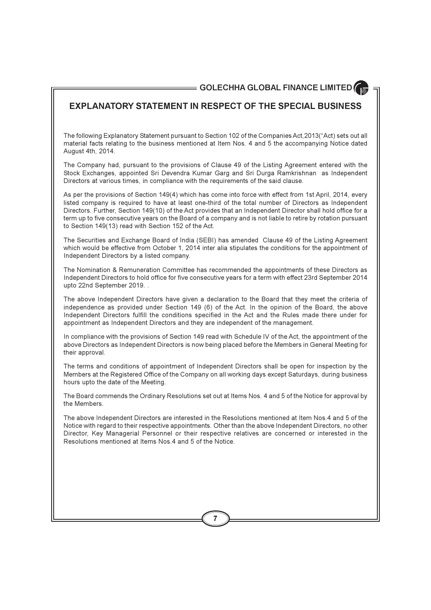## **EXPLANATORY STATEMENT IN RESPECT OF THE SPECIAL BUSINESS**

The following Explanatory Statement pursuant to Section 102 of the Companies Act, 2013("Act) sets out all material facts relating to the business mentioned at Item Nos. 4 and 5 the accompanying Notice dated August 4th, 2014.

The Company had, pursuant to the provisions of Clause 49 of the Listing Agreement entered with the Stock Exchanges, appointed Sri Devendra Kumar Garg and Sri Durga Ramkrishnan as Independent Directors at various times, in compliance with the requirements of the said clause.

As per the provisions of Section 149(4) which has come into force with effect from 1st April, 2014, every listed company is required to have at least one-third of the total number of Directors as Independent Directors. Further, Section 149(10) of the Act provides that an Independent Director shall hold office for a term up to five consecutive years on the Board of a company and is not liable to retire by rotation pursuant to Section 149(13) read with Section 152 of the Act.

The Securities and Exchange Board of India (SEBI) has amended Clause 49 of the Listing Agreement which would be effective from October 1, 2014 inter alia stipulates the conditions for the appointment of Independent Directors by a listed company.

The Nomination & Remuneration Committee has recommended the appointments of these Directors as Independent Directors to hold office for five consecutive years for a term with effect 23rd September 2014 upto 22nd September 2019. .

The above Independent Directors have given a declaration to the Board that they meet the criteria of independence as provided under Section 149 (6) of the Act. In the opinion of the Board, the above Independent Directors fulfill the conditions specified in the Act and the Rules made there under for appointment as Independent Directors and they are independent of the management.

In compliance with the provisions of Section 149 read with Schedule IV of the Act, the appointment of the above Directors as Independent Directors is now being placed before the Members in General Meeting for their approval.

The terms and conditions of appointment of Independent Directors shall be open for inspection by the Members at the Registered Office of the Company on all working days except Saturdays, during business hours upto the date of the Meeting.

The Board commends the Ordinary Resolutions set out at Items Nos. 4 and 5 of the Notice for approval by the Members

The above Independent Directors are interested in the Resolutions mentioned at Item Nos.4 and 5 of the Notice with regard to their respective appointments. Other than the above Independent Directors, no other Director, Key Managerial Personnel or their respective relatives are concerned or interested in the Resolutions mentioned at Items Nos 4 and 5 of the Notice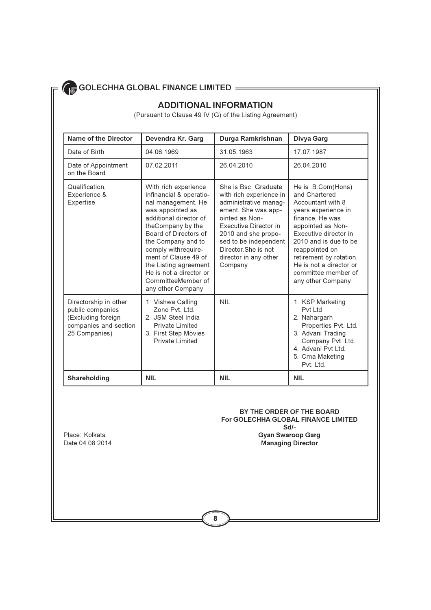## **ADDITIONAL INFORMATION**

(Pursuant to Clause 49 IV (G) of the Listing Agreement)

| Name of the Director                                                                                      | Devendra Kr. Garg                                                                                                                                                                                                                                                                                                                      | Durga Ramkrishnan                                                                                                                                                                                                                                     | Divya Garg                                                                                                                                                                                                                                                                                   |
|-----------------------------------------------------------------------------------------------------------|----------------------------------------------------------------------------------------------------------------------------------------------------------------------------------------------------------------------------------------------------------------------------------------------------------------------------------------|-------------------------------------------------------------------------------------------------------------------------------------------------------------------------------------------------------------------------------------------------------|----------------------------------------------------------------------------------------------------------------------------------------------------------------------------------------------------------------------------------------------------------------------------------------------|
| Date of Birth                                                                                             | 04 06 1969                                                                                                                                                                                                                                                                                                                             | 31 05 1963                                                                                                                                                                                                                                            | 17 07 1987                                                                                                                                                                                                                                                                                   |
| Date of Appointment<br>on the Board                                                                       | 07.02.2011                                                                                                                                                                                                                                                                                                                             | 26.04.2010                                                                                                                                                                                                                                            | 26 04 2010                                                                                                                                                                                                                                                                                   |
| Qualification.<br>Experience &<br>Expertise                                                               | With rich experience<br>infinancial & operatio-<br>nal management. He<br>was appointed as<br>additional director of<br>theCompany by the<br>Board of Directors of<br>the Company and to<br>comply withrequire-<br>ment of Clause 49 of<br>the Listing agreement.<br>He is not a director or<br>CommitteeMember of<br>any other Company | She is Bsc Graduate<br>with rich experience in<br>administrative manag-<br>ement. She was app-<br>ointed as Non-<br>Executive Director in<br>2010 and she propo-<br>sed to be independent<br>Director She is not<br>director in any other<br>Company. | He is B.Com(Hons)<br>and Chartered<br>Accountant with 8<br>years experience in<br>finance. He was<br>appointed as Non-<br>Executive director in<br>2010 and is due to be<br>reappointed on<br>retirement by rotation.<br>He is not a director or<br>committee member of<br>any other Company |
| Directorship in other<br>public companies<br>(Excluding foreign<br>companies and section<br>25 Companies) | 1 Vishwa Calling<br>Zone Pvt 1td<br>2. JSM Steel India<br><b>Private Limited</b><br>3. First Step Movies<br><b>Private Limited</b>                                                                                                                                                                                                     | <b>NIL</b>                                                                                                                                                                                                                                            | 1. KSP Marketing<br>Pvt I td<br>2. Nahargarh<br>Properties Pvt. Ltd.<br>3. Advani Trading<br>Company Pvt. Ltd.<br>4. Advani Pvt Ltd.<br>5. Cma Maketing<br>Pvt. Ltd.                                                                                                                         |
| Shareholding                                                                                              | <b>NIL</b>                                                                                                                                                                                                                                                                                                                             | <b>NIL</b>                                                                                                                                                                                                                                            | <b>NIL</b>                                                                                                                                                                                                                                                                                   |

BY THE ORDER OF THE BOARD For GOLECHHA GLOBAL FINANCE LIMITED Sd/-**Gyan Swaroop Garg** Managing Director

Place: Kolkata Date: 04.08.2014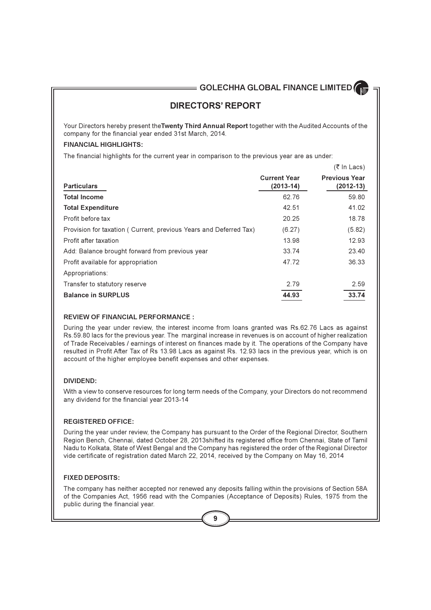## **DIRECTORS' REPORT**

Your Directors hereby present the Twenty Third Annual Report together with the Audited Accounts of the company for the financial year ended 31st March, 2014.

### **FINANCIAL HIGHLIGHTS:**

The financial highlights for the current year in comparison to the previous year are as under:

|                                                                    |                                    | (< in Lacs)                           |
|--------------------------------------------------------------------|------------------------------------|---------------------------------------|
| <b>Particulars</b>                                                 | <b>Current Year</b><br>$(2013-14)$ | <b>Previous Year</b><br>$(2012 - 13)$ |
| <b>Total Income</b>                                                | 62.76                              | 59.80                                 |
| <b>Total Expenditure</b>                                           | 42.51                              | 41.02                                 |
| Profit before tax                                                  | 20.25                              | 18.78                                 |
| Provision for taxation ( Current, previous Years and Deferred Tax) | (6.27)                             | (5.82)                                |
| Profit after taxation                                              | 13.98                              | 12.93                                 |
| Add: Balance brought forward from previous year                    | 33.74                              | 23.40                                 |
| Profit available for appropriation                                 | 47.72                              | 36.33                                 |
| Appropriations:                                                    |                                    |                                       |
| Transfer to statutory reserve                                      | 2.79                               | 2.59                                  |
| <b>Balance in SURPLUS</b>                                          | 44.93                              | 33.74                                 |

### **REVIEW OF FINANCIAL PERFORMANCE:**

During the year under review, the interest income from loans granted was Rs.62.76 Lacs as against Rs.59.80 lacs for the previous year. The marginal increase in revenues is on account of higher realization of Trade Receivables / earnings of interest on finances made by it. The operations of the Company have resulted in Profit After Tax of Rs 13.98 Lacs as against Rs. 12.93 lacs in the previous year, which is on account of the higher employee benefit expenses and other expenses.

### **DIVIDEND:**

With a view to conserve resources for long term needs of the Company, your Directors do not recommend any dividend for the financial year 2013-14

### **REGISTERED OFFICE:**

During the year under review, the Company has pursuant to the Order of the Regional Director, Southern Region Bench, Chennai, dated October 28, 2013 shifted its registered office from Chennai, State of Tamil Nadu to Kolkata, State of West Bengal and the Company has registered the order of the Regional Director vide certificate of registration dated March 22, 2014, received by the Company on May 16, 2014

### **FIXED DEPOSITS:**

The company has neither accepted nor renewed any deposits falling within the provisions of Section 58A of the Companies Act, 1956 read with the Companies (Acceptance of Deposits) Rules, 1975 from the public during the financial year.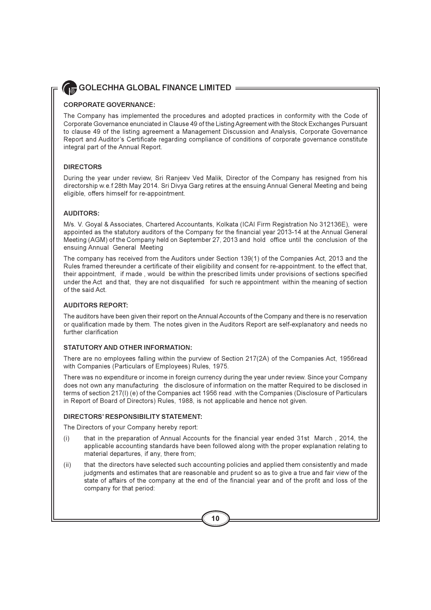### **CORPORATE GOVERNANCE:**

The Company has implemented the procedures and adopted practices in conformity with the Code of Corporate Governance enunciated in Clause 49 of the Listing Agreement with the Stock Exchanges Pursuant to clause 49 of the listing agreement a Management Discussion and Analysis, Corporate Governance Report and Auditor's Certificate regarding compliance of conditions of corporate governance constitute integral part of the Annual Report.

### **DIRECTORS**

During the year under review, Sri Ranjeev Ved Malik, Director of the Company has resigned from his directorship w.e.f 28th May 2014. Sri Divya Garg retires at the ensuing Annual General Meeting and being eligible, offers himself for re-appointment.

### **AUDITORS:**

M/s. V. Goyal & Associates, Chartered Accountants, Kolkata (ICAI Firm Registration No 312136E), were appointed as the statutory auditors of the Company for the financial year 2013-14 at the Annual General Meeting (AGM) of the Company held on September 27, 2013 and hold office until the conclusion of the ensuing Annual General Meeting

The company has received from the Auditors under Section 139(1) of the Companies Act, 2013 and the Rules framed thereunder a certificate of their eligibility and consent for re-appointment. to the effect that, their appointment, if made, would be within the prescribed limits under provisions of sections specified under the Act and that, they are not disqualified for such re appointment within the meaning of section of the said Act.

### **AUDITORS REPORT:**

The auditors have been given their report on the Annual Accounts of the Company and there is no reservation or qualification made by them. The notes given in the Auditors Report are self-explanatory and needs no further clarification

### STATUTORY AND OTHER INFORMATION:

There are no employees falling within the purview of Section 217(2A) of the Companies Act, 1956read with Companies (Particulars of Employees) Rules, 1975.

There was no expenditure or income in foreign currency during the year under review. Since your Company does not own any manufacturing the disclosure of information on the matter Required to be disclosed in terms of section 217(I) (e) of the Companies act 1956 read .with the Companies (Disclosure of Particulars in Report of Board of Directors) Rules, 1988, is not applicable and hence not given.

### DIRECTORS' RESPONSIBILITY STATEMENT:

The Directors of your Company hereby report:

- $(i)$ that in the preparation of Annual Accounts for the financial year ended 31st March, 2014, the applicable accounting standards have been followed along with the proper explanation relating to material departures, if any, there from;
- that the directors have selected such accounting policies and applied them consistently and made  $(ii)$ judgments and estimates that are reasonable and prudent so as to give a true and fair view of the state of affairs of the company at the end of the financial year and of the profit and loss of the company for that period: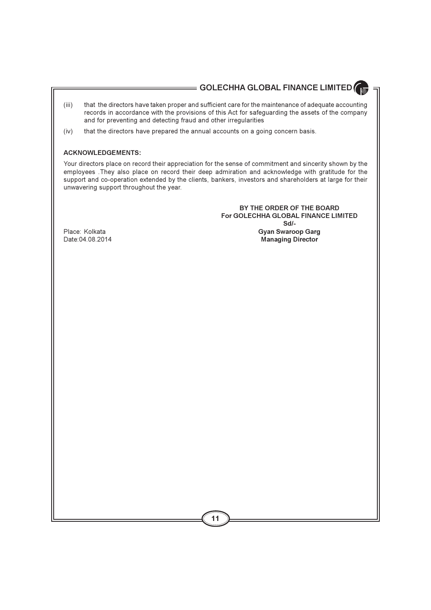## $=$  GOLECHHA GLOBAL FINANCE LIMITED  $\theta$

- $(iii)$ that the directors have taken proper and sufficient care for the maintenance of adequate accounting records in accordance with the provisions of this Act for safeguarding the assets of the company and for preventing and detecting fraud and other irregularities
- that the directors have prepared the annual accounts on a going concern basis.  $(iv)$

### **ACKNOWLEDGEMENTS:**

Your directors place on record their appreciation for the sense of commitment and sincerity shown by the employees. They also place on record their deep admiration and acknowledge with gratitude for the support and co-operation extended by the clients, bankers, investors and shareholders at large for their unwavering support throughout the year.

> BY THE ORDER OF THE BOARD For GOLECHHA GLOBAL FINANCE LIMITED  $Sd/L$ **Gyan Swaroop Garg Managing Director**

Place: Kolkata Date: 04.08.2014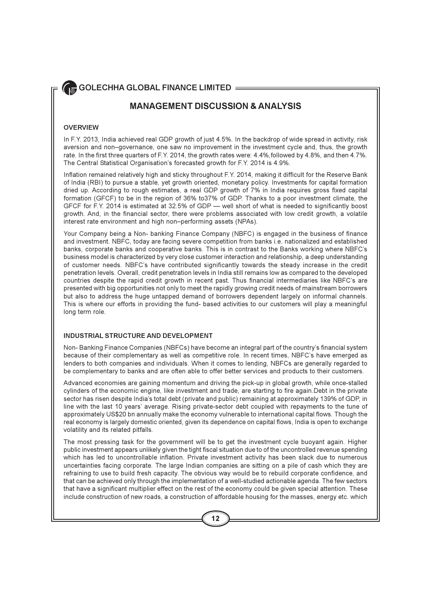## **MANAGEMENT DISCUSSION & ANALYSIS**

### **OVERVIEW**

In F.Y. 2013, India achieved real GDP growth of just 4.5%. In the backdrop of wide spread in activity, risk aversion and non-governance, one saw no improvement in the investment cycle and, thus, the growth rate. In the first three quarters of F.Y. 2014, the growth rates were: 4.4%, followed by 4.8%, and then 4.7%. The Central Statistical Organisation's forecasted growth for F.Y. 2014 is 4.9%.

Inflation remained relatively high and sticky throughout F.Y. 2014, making it difficult for the Reserve Bank of India (RBI) to pursue a stable, yet growth oriented, monetary policy. Investments for capital formation dried up. According to rough estimates, a real GDP growth of 7% in India requires gross fixed capital formation (GFCF) to be in the region of 36% to 37% of GDP. Thanks to a poor investment climate, the GFCF for F.Y. 2014 is estimated at 32.5% of GDP - well short of what is needed to significantly boost growth. And, in the financial sector, there were problems associated with low credit growth, a volatile interest rate environment and high non-performing assets (NPAs).

Your Company being a Non- banking Finance Company (NBFC) is engaged in the business of finance and investment. NBFC, today are facing severe competition from banks i.e. nationalized and established banks, corporate banks and cooperative banks. This is in contrast to the Banks working where NBFC's business model is characterized by very close customer interaction and relationship, a deep understanding of customer needs. NBFC's have contributed significantly towards the steady increase in the credit penetration levels. Overall, credit penetration levels in India still remains low as compared to the developed countries despite the rapid credit growth in recent past. Thus financial intermediaries like NBFC's are presented with big opportunities not only to meet the rapidly growing credit needs of mainstream borrowers but also to address the huge untapped demand of borrowers dependent largely on informal channels. This is where our efforts in providing the fund- based activities to our customers will play a meaningful long term role.

### **INDUSTRIAL STRUCTURE AND DEVELOPMENT**

Non-Banking Finance Companies (NBFCs) have become an integral part of the country's financial system because of their complementary as well as competitive role. In recent times, NBFC's have emerged as lenders to both companies and individuals. When it comes to lending, NBFCs are generally regarded to be complementary to banks and are often able to offer better services and products to their customers.

Advanced economies are gaining momentum and driving the pick-up in global growth, while once-stalled cylinders of the economic engine, like investment and trade, are starting to fire again. Debt in the private sector has risen despite India's total debt (private and public) remaining at approximately 139% of GDP, in line with the last 10 years' average. Rising private-sector debt coupled with repayments to the tune of approximately US\$20 bn annually make the economy vulnerable to international capital flows. Though the real economy is largely domestic oriented, given its dependence on capital flows, India is open to exchange volatility and its related pitfalls.

The most pressing task for the government will be to get the investment cycle buoyant again. Higher public investment appears unlikely given the tight fiscal situation due to of the uncontrolled revenue spending which has led to uncontrollable inflation. Private investment activity has been slack due to numerous uncertainties facing corporate. The large Indian companies are sitting on a pile of cash which they are refraining to use to build fresh capacity. The obvious way would be to rebuild corporate confidence, and that can be achieved only through the implementation of a well-studied actionable agenda. The few sectors that have a significant multiplier effect on the rest of the economy could be given special attention. These include construction of new roads, a construction of affordable housing for the masses, energy etc. which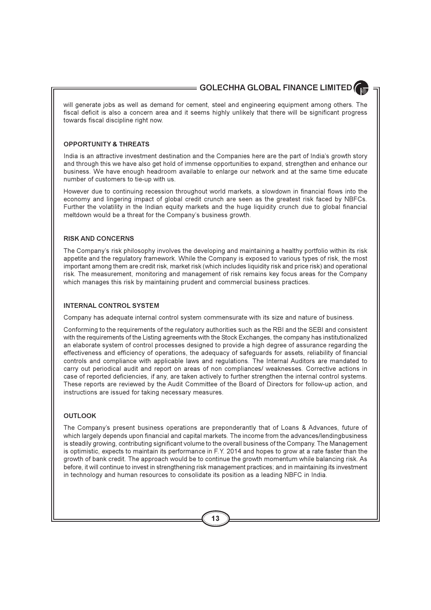will generate jobs as well as demand for cement, steel and engineering equipment among others. The fiscal deficit is also a concern area and it seems highly unlikely that there will be significant progress towards fiscal discipline right now.

### **OPPORTUNITY & THREATS**

India is an attractive investment destination and the Companies here are the part of India's growth story and through this we have also get hold of immense opportunities to expand, strengthen and enhance our business. We have enough headroom available to enlarge our network and at the same time educate number of customers to tie-up with us.

However due to continuing recession throughout world markets, a slowdown in financial flows into the economy and lingering impact of global credit crunch are seen as the greatest risk faced by NBFCs. Further the volatility in the Indian equity markets and the huge liquidity crunch due to global financial meltdown would be a threat for the Company's business growth.

### **RISK AND CONCERNS**

The Company's risk philosophy involves the developing and maintaining a healthy portfolio within its risk appetite and the regulatory framework. While the Company is exposed to various types of risk, the most important among them are credit risk, market risk (which includes liquidity risk and price risk) and operational risk. The measurement, monitoring and management of risk remains key focus areas for the Company which manages this risk by maintaining prudent and commercial business practices.

### **INTERNAL CONTROL SYSTEM**

Company has adequate internal control system commensurate with its size and nature of business.

Conforming to the requirements of the regulatory authorities such as the RBI and the SEBI and consistent with the requirements of the Listing agreements with the Stock Exchanges, the company has institutionalized an elaborate system of control processes designed to provide a high degree of assurance regarding the effectiveness and efficiency of operations, the adequacy of safequards for assets, reliability of financial controls and compliance with applicable laws and regulations. The Internal Auditors are mandated to carry out periodical audit and report on areas of non compliances/ weaknesses. Corrective actions in case of reported deficiencies, if any, are taken actively to further strengthen the internal control systems. These reports are reviewed by the Audit Committee of the Board of Directors for follow-up action, and instructions are issued for taking necessary measures.

### **OUTLOOK**

The Company's present business operations are preponderantly that of Loans & Advances, future of which largely depends upon financial and capital markets. The income from the advances/lendingbusiness is steadily growing, contributing significant volume to the overall business of the Company. The Management is optimistic, expects to maintain its performance in F.Y. 2014 and hopes to grow at a rate faster than the growth of bank credit. The approach would be to continue the growth momentum while balancing risk. As before, it will continue to invest in strengthening risk management practices; and in maintaining its investment in technology and human resources to consolidate its position as a leading NBFC in India.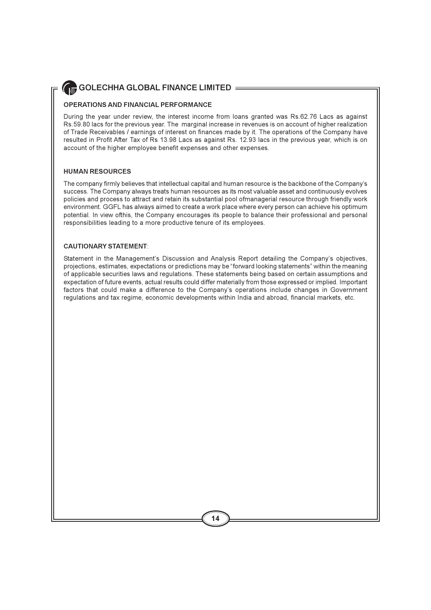### **OPERATIONS AND FINANCIAL PERFORMANCE**

During the year under review, the interest income from loans granted was Rs.62.76 Lacs as against Rs.59.80 lacs for the previous year. The marginal increase in revenues is on account of higher realization of Trade Receivables / earnings of interest on finances made by it. The operations of the Company have resulted in Profit After Tax of Rs 13.98 Lacs as against Rs. 12.93 lacs in the previous year, which is on account of the higher employee benefit expenses and other expenses.

### **HUMAN RESOURCES**

The company firmly believes that intellectual capital and human resource is the backbone of the Company's success. The Company always treats human resources as its most valuable asset and continuously evolves policies and process to attract and retain its substantial pool ofmanagerial resource through friendly work environment. GGFL has always aimed to create a work place where every person can achieve his optimum potential. In view ofthis, the Company encourages its people to balance their professional and personal responsibilities leading to a more productive tenure of its employees.

### **CAUTIONARY STATEMENT**

Statement in the Management's Discussion and Analysis Report detailing the Company's objectives, projections, estimates, expectations or predictions may be "forward looking statements" within the meaning of applicable securities laws and regulations. These statements being based on certain assumptions and expectation of future events, actual results could differ materially from those expressed or implied. Important factors that could make a difference to the Company's operations include changes in Government regulations and tax regime, economic developments within India and abroad, financial markets, etc.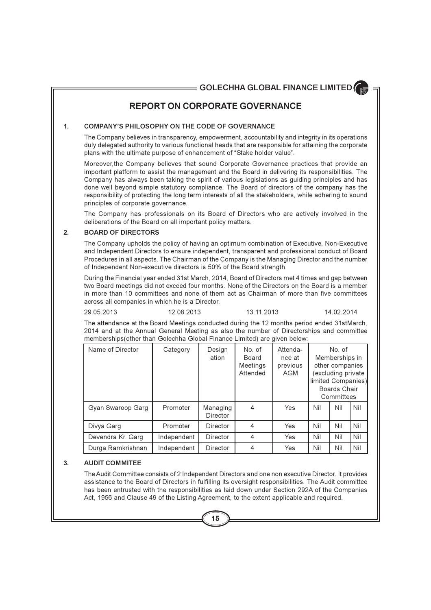## **REPORT ON CORPORATE GOVERNANCE**

#### $\mathbf{1}$ . **COMPANY'S PHILOSOPHY ON THE CODE OF GOVERNANCE**

The Company believes in transparency, empowerment, accountability and integrity in its operations duly delegated authority to various functional heads that are responsible for attaining the corporate plans with the ultimate purpose of enhancement of "Stake holder value".

Moreover, the Company believes that sound Corporate Governance practices that provide an important platform to assist the management and the Board in delivering its responsibilities. The Company has always been taking the spirit of various legislations as guiding principles and has done well beyond simple statutory compliance. The Board of directors of the company has the responsibility of protecting the long term interests of all the stakeholders, while adhering to sound principles of corporate governance.

The Company has professionals on its Board of Directors who are actively involved in the deliberations of the Board on all important policy matters.

#### $\overline{2}$ **BOARD OF DIRECTORS**

The Company upholds the policy of having an optimum combination of Executive, Non-Executive and Independent Directors to ensure independent, transparent and professional conduct of Board Procedures in all aspects. The Chairman of the Company is the Managing Director and the number of Independent Non-executive directors is 50% of the Board strength.

During the Financial year ended 31st March, 2014, Board of Directors met 4 times and gap between two Board meetings did not exceed four months. None of the Directors on the Board is a member in more than 10 committees and none of them act as Chairman of more than five committees across all companies in which he is a Director

29 05 2013

13 11 2013

```
14 02 2014
```
The attendance at the Board Meetings conducted during the 12 months period ended 31stMarch, 2014 and at the Annual General Meeting as also the number of Directorships and committee memberships (other than Golechha Global Finance Limited) are given below:

12 08 2013

| Name of Director  | Category    | Design<br>ation      | No. of<br><b>Board</b><br>Meetings<br>Attended | Attenda-<br>nce at<br>previous<br>AGM |     | No of<br>Memberships in<br>other companies<br>excluding private<br>limited Companies)<br>Boards Chair<br>Committees |     |
|-------------------|-------------|----------------------|------------------------------------------------|---------------------------------------|-----|---------------------------------------------------------------------------------------------------------------------|-----|
| Gyan Swaroop Garg | Promoter    | Managing<br>Director | 4                                              | Yes                                   | Nil | Nil                                                                                                                 | Nil |
| Divya Garg        | Promoter    | Director             | 4                                              | Yes                                   | Nil | Nil                                                                                                                 | Nil |
| Devendra Kr. Garg | Independent | Director             | 4                                              | Yes                                   | Nil | Nil                                                                                                                 | Nil |
| Durga Ramkrishnan | Independent | Director             | 4                                              | Yes                                   | Nil | Nil                                                                                                                 | Nil |

#### 3. **AUDIT COMMITEE**

The Audit Committee consists of 2 Independent Directors and one non executive Director. It provides assistance to the Board of Directors in fulfilling its oversight responsibilities. The Audit committee has been entrusted with the responsibilities as laid down under Section 292A of the Companies Act, 1956 and Clause 49 of the Listing Agreement, to the extent applicable and required.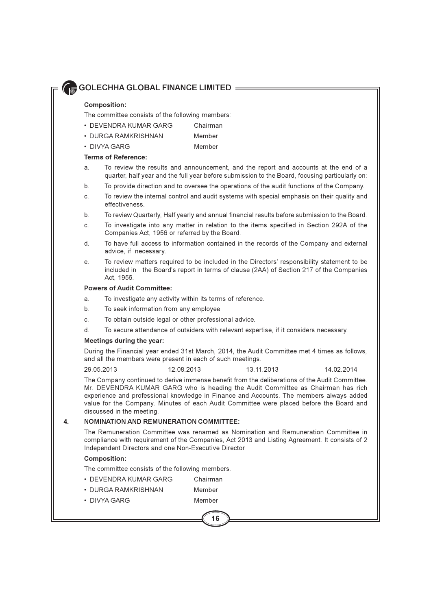### **Composition:**

The committee consists of the following members:

- DEVENDRA KUMAR GARG Chairman
- · DURGA RAMKRISHNAN Member
- DIVYA GARG Member

### **Terms of Reference:**

- To review the results and announcement, and the report and accounts at the end of a  $\mathbf{a}$ quarter, half year and the full year before submission to the Board, focusing particularly on:
- To provide direction and to oversee the operations of the audit functions of the Company. b.
- To review the internal control and audit systems with special emphasis on their quality and  $\mathbf{C}$ effectiveness
- To review Quarterly, Half yearly and annual financial results before submission to the Board.  $b<sub>1</sub>$
- To investigate into any matter in relation to the items specified in Section 292A of the  $\mathsf{C}$ Companies Act, 1956 or referred by the Board.
- d. To have full access to information contained in the records of the Company and external advice, if necessary.
- To review matters required to be included in the Directors' responsibility statement to be е. included in the Board's report in terms of clause (2AA) of Section 217 of the Companies Act. 1956.

### **Powers of Audit Committee:**

- To investigate any activity within its terms of reference.  $\mathbf{a}$
- $h$ To seek information from any employee
- To obtain outside legal or other professional advice. C.
- To secure attendance of outsiders with relevant expertise, if it considers necessary.  $\mathsf{d}$

### Meetings during the year:

During the Financial year ended 31st March, 2014, the Audit Committee met 4 times as follows, and all the members were present in each of such meetings.

29.05.2013 12.08.2013 13.11.2013 14 02 2014

The Company continued to derive immense benefit from the deliberations of the Audit Committee. Mr. DEVENDRA KUMAR GARG who is heading the Audit Committee as Chairman has rich experience and professional knowledge in Finance and Accounts. The members always added value for the Company. Minutes of each Audit Committee were placed before the Board and discussed in the meeting.

#### **NOMINATION AND REMUNERATION COMMITTEE:**  $\overline{\mathbf{4}}$ .

The Remuneration Committee was renamed as Nomination and Remuneration Committee in compliance with requirement of the Companies, Act 2013 and Listing Agreement. It consists of 2 Independent Directors and one Non-Executive Director

### **Composition:**

The committee consists of the following members.

- DEVENDRA KUMAR GARG Chairman
- · DURGA RAMKRISHNAN Member
- DIVYA GARG Member

16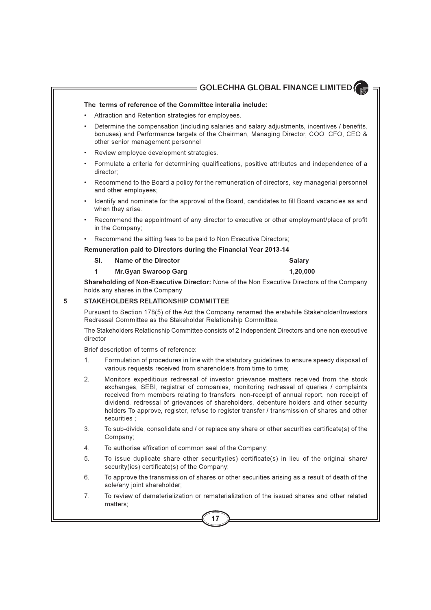### The terms of reference of the Committee interalia include:

- Attraction and Retention strategies for employees.
- Determine the compensation (including salaries and salary adjustments, incentives / benefits, bonuses) and Performance targets of the Chairman, Managing Director, COO, CFO, CEO & other senior management personnel
- Review employee development strategies.
- Formulate a criteria for determining qualifications, positive attributes and independence of a director:
- Recommend to the Board a policy for the remuneration of directors, key managerial personnel and other employees;
- Identify and nominate for the approval of the Board, candidates to fill Board vacancies as and when they arise.
- Recommend the appointment of any director to executive or other employment/place of profit in the Company;
- Recommend the sitting fees to be paid to Non Executive Directors;

### Remuneration paid to Directors during the Financial Year 2013-14

SI. **Name of the Director** 

**Salary** 

 $\mathbf{1}$ Mr. Gvan Swaroop Garg 1.20.000

Shareholding of Non-Executive Director: None of the Non Executive Directors of the Company holds any shares in the Company

#### 5 STAKEHOLDERS RELATIONSHIP COMMITTEE

Pursuant to Section 178(5) of the Act the Company renamed the erstwhile Stakeholder/Investors Redressal Committee as the Stakeholder Relationship Committee.

The Stakeholders Relationship Committee consists of 2 Independent Directors and one non executive director

Brief description of terms of reference:

- $\mathbf{1}$ Formulation of procedures in line with the statutory guidelines to ensure speedy disposal of various requests received from shareholders from time to time;
- $\mathcal{P}$ Monitors expeditious redressal of investor grievance matters received from the stock exchanges, SEBI, registrar of companies, monitoring redressal of queries / complaints received from members relating to transfers, non-receipt of annual report, non receipt of dividend, redressal of grievances of shareholders, debenture holders and other security holders To approve, register, refuse to register transfer / transmission of shares and other securities :
- 3. To sub-divide, consolidate and / or replace any share or other securities certificate(s) of the Company;
- $4.$ To authorise affixation of common seal of the Company:
- 5 To issue duplicate share other security(ies) certificate(s) in lieu of the original share/ security(ies) certificate(s) of the Company;
- 6 To approve the transmission of shares or other securities arising as a result of death of the sole/any joint shareholder;
- To review of dematerialization or rematerialization of the issued shares and other related 7. matters: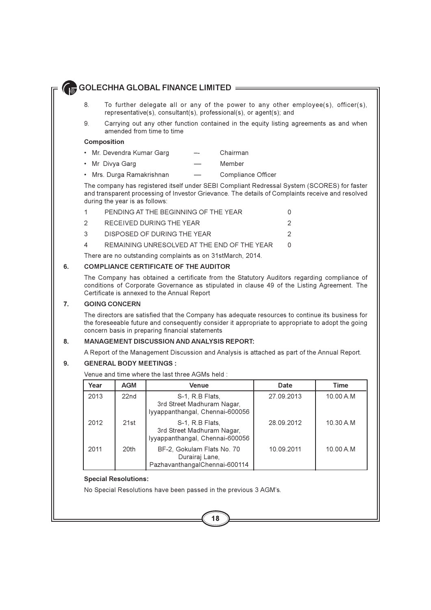- 8 To further delegate all or any of the power to any other employee(s), officer(s), representative(s), consultant(s), professional(s), or agent(s); and
- $\mathsf{Q}$ Carrying out any other function contained in the equity listing agreements as and when amended from time to time

### **Composition**

- Mr. Devendra Kumar Garg Chairman
- Mr Divya Garg Member
- Mrs. Durga Ramakrishnan  $\overline{\phantom{0}}$ Compliance Officer

The company has registered itself under SEBI Compliant Redressal System (SCORES) for faster and transparent processing of Investor Grievance. The details of Complaints receive and resolved during the year is as follows:

| 1             | PENDING AT THE BEGINNING OF THE YEAR        |  |
|---------------|---------------------------------------------|--|
| $\mathcal{P}$ | RECEIVED DURING THE YEAR                    |  |
| $\mathcal{R}$ | DISPOSED OF DURING THE YEAR                 |  |
| 4             | REMAINING UNRESOLVED AT THE END OF THE YEAR |  |
|               |                                             |  |

There are no outstanding complaints as on 31stMarch, 2014.

#### 6. **COMPLIANCE CERTIFICATE OF THE AUDITOR**

The Company has obtained a certificate from the Statutory Auditors regarding compliance of conditions of Corporate Governance as stipulated in clause 49 of the Listing Agreement. The Certificate is annexed to the Annual Report

#### $\overline{7}$ . **GOING CONCERN**

The directors are satisfied that the Company has adequate resources to continue its business for the foreseeable future and consequently consider it appropriate to appropriate to adopt the going concern basis in preparing financial statements

#### **MANAGEMENT DISCUSSION AND ANALYSIS REPORT:** 8.

A Report of the Management Discussion and Analysis is attached as part of the Annual Report.

#### **GENERAL BODY MEETINGS:** 9.

Venue and time where the last three AGMs held

| Year | <b>AGM</b>       | Venue                                                                            | Date       | Time      |
|------|------------------|----------------------------------------------------------------------------------|------------|-----------|
| 2013 | 22 <sub>nd</sub> | S-1, R.B Flats,<br>3rd Street Madhuram Nagar,<br>lyyappanthangal, Chennai-600056 | 27.09.2013 | 10.00 A.M |
| 2012 | 21st             | S-1, R.B Flats,<br>3rd Street Madhuram Nagar,<br>lyyappanthangal, Chennai-600056 | 28.09.2012 | 10.30 A.M |
| 2011 | 20th             | BF-2, Gokulam Flats No. 70<br>Durairaj Lane,<br>PazhavanthangalChennai-600114    | 10.09.2011 | 10.00 A.M |

### **Special Resolutions:**

No Special Resolutions have been passed in the previous 3 AGM's.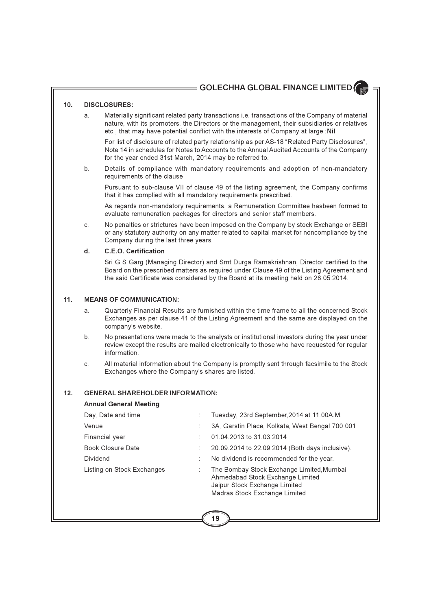#### $10<sub>1</sub>$ **DISCLOSURES:**

Materially significant related party transactions i.e. transactions of the Company of material a nature, with its promoters, the Directors or the management, their subsidiaries or relatives etc., that may have potential conflict with the interests of Company at large :Nil

For list of disclosure of related party relationship as per AS-18 "Related Party Disclosures", Note 14 in schedules for Notes to Accounts to the Annual Audited Accounts of the Company for the year ended 31st March, 2014 may be referred to.

 $b<sub>1</sub>$ Details of compliance with mandatory requirements and adoption of non-mandatory requirements of the clause

Pursuant to sub-clause VII of clause 49 of the listing agreement, the Company confirms that it has complied with all mandatory requirements prescribed.

As regards non-mandatory requirements, a Remuneration Committee hasbeen formed to evaluate remuneration packages for directors and senior staff members.

No penalties or strictures have been imposed on the Company by stock Exchange or SEBI C. or any statutory authority on any matter related to capital market for noncompliance by the Company during the last three years.

#### $\mathbf{d}$ . C.E.O. Certification

Sri G S Garg (Managing Director) and Smt Durga Ramakrishnan, Director certified to the Board on the prescribed matters as required under Clause 49 of the Listing Agreement and the said Certificate was considered by the Board at its meeting held on 28.05.2014.

#### $11.$ **MEANS OF COMMUNICATION:**

- Quarterly Financial Results are furnished within the time frame to all the concerned Stock  $\mathbf{a}$ Exchanges as per clause 41 of the Listing Agreement and the same are displayed on the company's website.
- No presentations were made to the analysts or institutional investors during the year under  $b<sub>1</sub>$ review except the results are mailed electronically to those who have requested for regular information.
- All material information about the Company is promptly sent through facsimile to the Stock  $\mathbf{C}$ Exchanges where the Company's shares are listed.

#### $12<sub>1</sub>$ **GENERAL SHAREHOLDER INFORMATION:**

### **Annual General Meeting**

| Day, Date and time         | Tuesday, 23rd September, 2014 at 11.00A.M.                                                                                                      |
|----------------------------|-------------------------------------------------------------------------------------------------------------------------------------------------|
| Venue                      | 3A, Garstin Place, Kolkata, West Bengal 700 001                                                                                                 |
| Financial year             | 01.04.2013 to 31.03.2014                                                                                                                        |
| <b>Book Closure Date</b>   | 20.09.2014 to 22.09.2014 (Both days inclusive).                                                                                                 |
| Dividend                   | No dividend is recommended for the year.                                                                                                        |
| Listing on Stock Exchanges | The Bombay Stock Exchange Limited, Mumbai<br>Ahmedabad Stock Exchange Limited<br>Jaipur Stock Exchange Limited<br>Madras Stock Exchange Limited |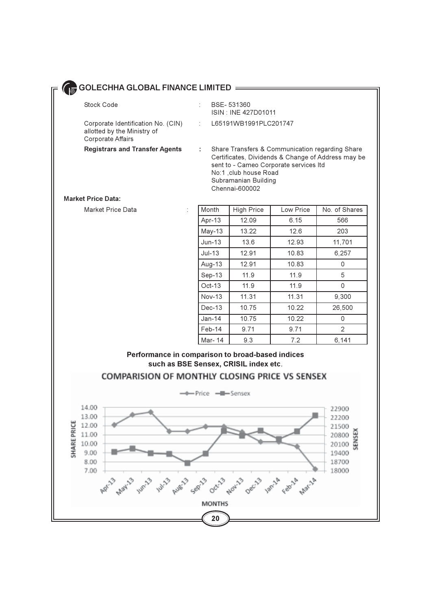| Stock Code                                                                             | BSE-531360<br>ISIN: INE 427D01011                                                                                           |
|----------------------------------------------------------------------------------------|-----------------------------------------------------------------------------------------------------------------------------|
| Corporate Identification No. (CIN)<br>allotted by the Ministry of<br>Corporate Affairs | : L65191WB1991PLC201747                                                                                                     |
| <b>Registrars and Transfer Agents</b>                                                  | Share Transfers & Communication regard<br>Certificates, Dividends & Change of Addr<br>sopt to Campo Corporato services Itd. |

 $\ddot{\cdot}$ 

ding Share ess may be sent to - Cameo Corporate services Itd No:1, club house Road Subramanian Building Chennai-600002

### **Market Price Data:**

**Market Price Data** 

| Month    | <b>High Price</b> | Low Price | No. of Shares |
|----------|-------------------|-----------|---------------|
| Apr-13   | 12.09             | 6.15      | 566           |
| $May-13$ | 13.22             | 12.6      | 203           |
| $Jun-13$ | 13.6              | 12.93     | 11,701        |
| $Jul-13$ | 12.91             | 10.83     | 6,257         |
| Aug-13   | 12.91             | 10.83     | 0             |
| Sep-13   | 11.9              | 11.9      | 5             |
| $Oct-13$ | 11.9              | 11.9      | 0             |
| $Nov-13$ | 11.31             | 11.31     | 9,300         |
| Dec-13   | 10.75             | 10.22     | 26,500        |
| $Jan-14$ | 10.75             | 10.22     | 0             |
| Feb-14   | 9.71              | 9.71      | 2             |
| Mar- 14  | 9.3               | 7.2       | 6,141         |

## Performance in comparison to broad-based indices such as BSE Sensex, CRISIL index etc.



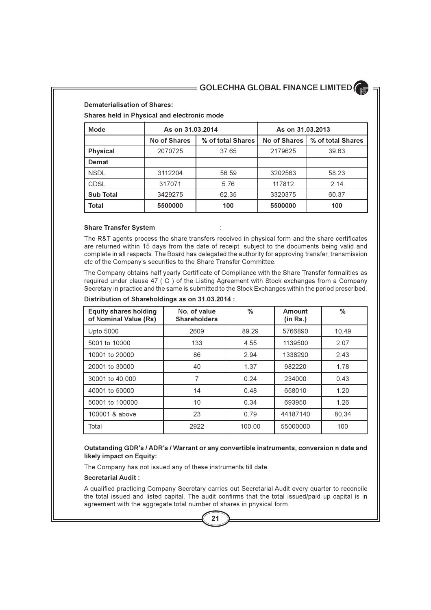**Dematerialisation of Shares:** 

Shares held in Physical and electronic mode

| Mode             | As on 31.03.2014                  |       | As on 31.03.2013 |                   |
|------------------|-----------------------------------|-------|------------------|-------------------|
|                  | No of Shares<br>% of total Shares |       | No of Shares     | % of total Shares |
| <b>Physical</b>  | 2070725                           | 37.65 | 2179625          | 39.63             |
| Demat            |                                   |       |                  |                   |
| <b>NSDL</b>      | 3112204                           | 56.59 | 3202563          | 58.23             |
| <b>CDSL</b>      | 317071                            | 5.76  | 117812           | 2.14              |
| <b>Sub Total</b> | 3429275                           | 62.35 | 3320375          | 60.37             |
| Total            | 5500000                           | 100   | 5500000          | 100               |

### **Share Transfer System**

The R&T agents process the share transfers received in physical form and the share certificates are returned within 15 days from the date of receipt, subject to the documents being valid and complete in all respects. The Board has delegated the authority for approving transfer, transmission etc of the Company's securities to the Share Transfer Committee.

The Company obtains half yearly Certificate of Compliance with the Share Transfer formalities as required under clause 47 (C) of the Listing Agreement with Stock exchanges from a Company Secretary in practice and the same is submitted to the Stock Exchanges within the period prescribed.

| <b>Equity shares holding</b><br>of Nominal Value (Rs) | No. of value<br><b>Shareholders</b> | $\%$   | Amount<br>(in Rs.) | %     |
|-------------------------------------------------------|-------------------------------------|--------|--------------------|-------|
| Upto 5000                                             | 2609                                | 89.29  | 5766890            | 10.49 |
| 5001 to 10000                                         | 133                                 | 4.55   | 1139500            | 2.07  |
| 10001 to 20000                                        | 86                                  | 2.94   | 1338290            | 2.43  |
| 20001 to 30000                                        | 40                                  | 1.37   | 982220             | 1.78  |
| 30001 to 40,000                                       | 7                                   | 0.24   | 234000             | 0.43  |
| 40001 to 50000                                        | 14                                  | 0.48   | 658010             | 1.20  |
| 50001 to 100000                                       | 10                                  | 0.34   | 693950             | 1.26  |
| 100001 & above                                        | 23                                  | 0.79   | 44187140           | 80.34 |
| Total                                                 | 2922                                | 100.00 | 55000000           | 100   |

### Distribution of Shareholdings as on 31.03.2014 :

### Outstanding GDR's / ADR's / Warrant or any convertible instruments, conversion n date and likely impact on Equity:

The Company has not issued any of these instruments till date.

### **Secretarial Audit:**

A qualified practicing Company Secretary carries out Secretarial Audit every quarter to reconcile the total issued and listed capital. The audit confirms that the total issued/paid up capital is in agreement with the aggregate total number of shares in physical form.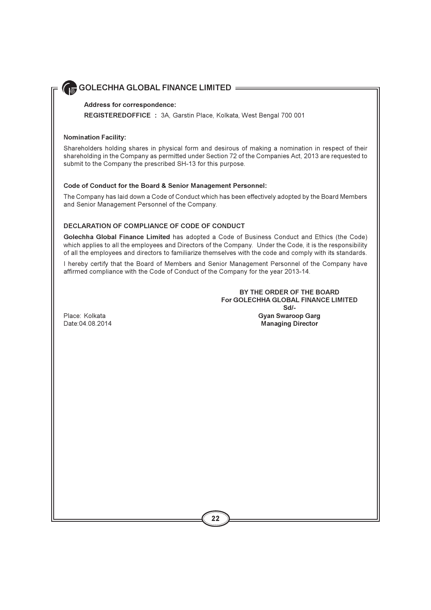### Address for correspondence:

REGISTEREDOFFICE : 3A, Garstin Place, Kolkata, West Bengal 700 001

### **Nomination Facility:**

Shareholders holding shares in physical form and desirous of making a nomination in respect of their shareholding in the Company as permitted under Section 72 of the Companies Act, 2013 are requested to submit to the Company the prescribed SH-13 for this purpose.

### Code of Conduct for the Board & Senior Management Personnel:

The Company has laid down a Code of Conduct which has been effectively adopted by the Board Members and Senior Management Personnel of the Company.

### DECLARATION OF COMPLIANCE OF CODE OF CONDUCT

Golechha Global Finance Limited has adopted a Code of Business Conduct and Ethics (the Code) which applies to all the employees and Directors of the Company. Under the Code, it is the responsibility of all the employees and directors to familiarize themselves with the code and comply with its standards.

I hereby certify that the Board of Members and Senior Management Personnel of the Company have affirmed compliance with the Code of Conduct of the Company for the year 2013-14.

> BY THE ORDER OF THE BOARD For GOLECHHA GLOBAL FINANCE LIMITED  $Sd$ -**Gyan Swaroop Garg Managing Director**

Place: Kolkata Date: 04.08.2014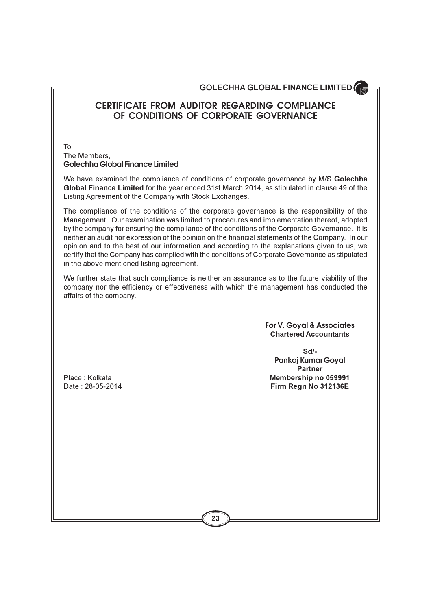## **CERTIFICATE FROM AUDITOR REGARDING COMPLIANCE OF CONDITIONS OF CORPORATE GOVERNANCE**

T<sub>0</sub> The Members. **Golechha Global Finance Limited**

We have examined the compliance of conditions of corporate governance by M/S Golechha Global Finance Limited for the year ended 31st March, 2014, as stipulated in clause 49 of the Listing Agreement of the Company with Stock Exchanges.

The compliance of the conditions of the corporate governance is the responsibility of the Management. Our examination was limited to procedures and implementation thereof, adopted by the company for ensuring the compliance of the conditions of the Corporate Governance. It is neither an audit nor expression of the opinion on the financial statements of the Company. In our opinion and to the best of our information and according to the explanations given to us, we certify that the Company has complied with the conditions of Corporate Governance as stipulated in the above mentioned listing agreement.

We further state that such compliance is neither an assurance as to the future viability of the company nor the efficiency or effectiveness with which the management has conducted the affairs of the company.

> **For V. Goyal & Associates Chartered Accountants**

**Sd**/-**Pankaj Kumar Goyal Partner** Membership no 059991 5&>,!>,"  **7/%-%(**

Place: Kolkata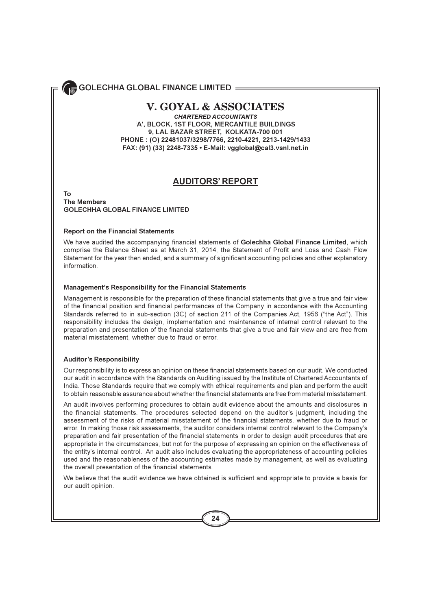## **V. GOYAL & ASSOCIATES**

**CHARTERED ACCOUNTANTS** 'A', BLOCK, 1ST FLOOR, MERCANTILE BUILDINGS 9, LAL BAZAR STREET, KOLKATA-700 001 PHONE: (0) 22481037/3298/7766, 2210-4221, 2213-1429/1433 FAX: (91) (33) 2248-7335 • E-Mail: vgglobal@cal3.vsnl.net.in

## **AUDITORS' REPORT**

### **Το The Members GOLECHHA GLOBAL FINANCE LIMITED**

### **Report on the Financial Statements**

We have audited the accompanying financial statements of Golechha Global Finance Limited, which comprise the Balance Sheet as at March 31, 2014, the Statement of Profit and Loss and Cash Flow Statement for the year then ended, and a summary of significant accounting policies and other explanatory information.

### **Management's Responsibility for the Financial Statements**

Management is responsible for the preparation of these financial statements that give a true and fair view of the financial position and financial performances of the Company in accordance with the Accounting Standards referred to in sub-section (3C) of section 211 of the Companies Act, 1956 ("the Act"). This responsibility includes the design, implementation and maintenance of internal control relevant to the preparation and presentation of the financial statements that give a true and fair view and are free from material misstatement, whether due to fraud or error.

### **Auditor's Responsibility**

Our responsibility is to express an opinion on these financial statements based on our audit. We conducted our audit in accordance with the Standards on Auditing issued by the Institute of Chartered Accountants of India. Those Standards require that we comply with ethical requirements and plan and perform the audit to obtain reasonable assurance about whether the financial statements are free from material misstatement.

An audit involves performing procedures to obtain audit evidence about the amounts and disclosures in the financial statements. The procedures selected depend on the auditor's judament, including the assessment of the risks of material misstatement of the financial statements, whether due to fraud or error. In making those risk assessments, the auditor considers internal control relevant to the Company's preparation and fair presentation of the financial statements in order to design audit procedures that are appropriate in the circumstances, but not for the purpose of expressing an opinion on the effectiveness of the entity's internal control. An audit also includes evaluating the appropriateness of accounting policies used and the reasonableness of the accounting estimates made by management, as well as evaluating the overall presentation of the financial statements.

We believe that the audit evidence we have obtained is sufficient and appropriate to provide a basis for our audit opinion.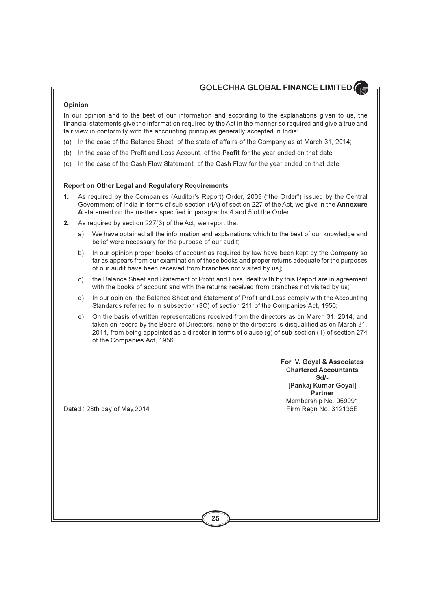### Opinion

In our opinion and to the best of our information and according to the explanations given to us, the financial statements give the information required by the Act in the manner so required and give a true and fair view in conformity with the accounting principles generally accepted in India:

- (a) In the case of the Balance Sheet, of the state of affairs of the Company as at March 31, 2014;
- (b) In the case of the Profit and Loss Account, of the **Profit** for the year ended on that date.
- (c) In the case of the Cash Flow Statement, of the Cash Flow for the year ended on that date.

### **Report on Other Legal and Regulatory Requirements**

- As required by the Companies (Auditor's Report) Order, 2003 ("the Order") issued by the Central  $\mathbf{1}$ . Government of India in terms of sub-section (4A) of section 227 of the Act, we give in the Annexure A statement on the matters specified in paragraphs 4 and 5 of the Order.
- As required by section 227(3) of the Act, we report that:  $2.$ 
	- We have obtained all the information and explanations which to the best of our knowledge and a) belief were necessary for the purpose of our audit;
	- In our opinion proper books of account as required by law have been kept by the Company so b) far as appears from our examination of those books and proper returns adequate for the purposes of our audit have been received from branches not visited by us];
	- the Balance Sheet and Statement of Profit and Loss, dealt with by this Report are in agreement C) with the books of account and with the returns received from branches not visited by us;
	- d) In our opinion, the Balance Sheet and Statement of Profit and Loss comply with the Accounting Standards referred to in subsection (3C) of section 211 of the Companies Act, 1956;
	- On the basis of written representations received from the directors as on March 31, 2014, and  $e)$ taken on record by the Board of Directors, none of the directors is disqualified as on March 31, 2014, from being appointed as a director in terms of clause (g) of sub-section (1) of section 274 of the Companies Act, 1956.

For V. Goyal & Associates **Chartered Accountants**  $Sd/L$ [Pankaj Kumar Goyal] Partner Membership No. 059991 Firm Regn No. 312136E

Dated: 28th day of May, 2014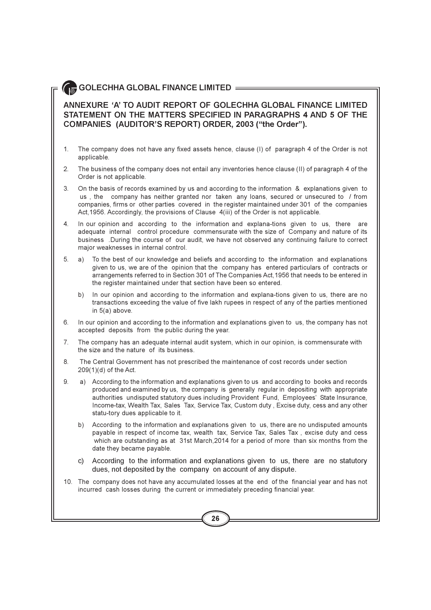## $\blacksquare$  GOLECHHA GLOBAL FINANCE LIMITED  $=$

### ANNEXURE 'A' TO AUDIT REPORT OF GOLECHHA GLOBAL FINANCE LIMITED STATEMENT ON THE MATTERS SPECIFIED IN PARAGRAPHS 4 AND 5 OF THE COMPANIES (AUDITOR'S REPORT) ORDER, 2003 ("the Order").

- $\mathbf{1}$ . The company does not have any fixed assets hence, clause (I) of paragraph 4 of the Order is not applicable.
- The business of the company does not entail any inventories hence clause (II) of paragraph 4 of the  $2<sup>1</sup>$ Order is not applicable.
- On the basis of records examined by us and according to the information & explanations given to 3. us, the company has neither granted nor taken any loans, secured or unsecured to / from companies, firms or other parties covered in the register maintained under 301 of the companies Act, 1956. Accordingly, the provisions of Clause 4(iii) of the Order is not applicable.
- $4.$ In our opinion and according to the information and explana-tions given to us, there are adequate internal control procedure commensurate with the size of Company and nature of its business .During the course of our audit, we have not observed any continuing failure to correct major weaknesses in internal control.
- 5. a) To the best of our knowledge and beliefs and according to the information and explanations given to us, we are of the opinion that the company has entered particulars of contracts or arrangements referred to in Section 301 of The Companies Act, 1956 that needs to be entered in the register maintained under that section have been so entered.
	- b) In our opinion and according to the information and explana-tions given to us, there are no transactions exceeding the value of five lakh rupees in respect of any of the parties mentioned in  $5(a)$  above.
- In our opinion and according to the information and explanations given to us, the company has not 6 accepted deposits from the public during the year.
- $7<sub>1</sub>$ The company has an adequate internal audit system, which in our opinion, is commensurate with the size and the nature of its business.
- 8. The Central Government has not prescribed the maintenance of cost records under section 209(1)(d) of the Act.
- 9. a) According to the information and explanations given to us and according to books and records produced and examined by us, the company is generally regular in depositing with appropriate authorities undisputed statutory dues including Provident Fund, Employees' State Insurance, Income-tax, Wealth Tax, Sales Tax, Service Tax, Custom duty, Excise duty, cess and any other statu-tory dues applicable to it.
	- b) According to the information and explanations given to us, there are no undisputed amounts payable in respect of income tax, wealth tax, Service Tax, Sales Tax, excise duty and cess which are outstanding as at 31st March, 2014 for a period of more than six months from the date they became payable.
	- c) According to the information and explanations given to us, there are no statutory dues, not deposited by the company on account of any dispute.
- 10. The company does not have any accumulated losses at the end of the financial year and has not incurred cash losses during the current or immediately preceding financial year.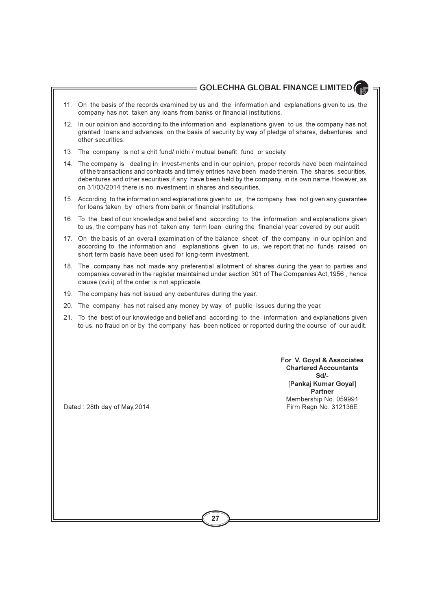- 11. On the basis of the records examined by us and the information and explanations given to us, the company has not taken any loans from banks or financial institutions.
- 12. In our opinion and according to the information and explanations given to us, the company has not granted loans and advances on the basis of security by way of pledge of shares, debentures and other securities.
- 13. The company is not a chit fund/ nidhi / mutual benefit fund or society.
- 14. The company is dealing in invest-ments and in our opinion, proper records have been maintained of the transactions and contracts and timely entries have been made therein. The shares, securities, debentures and other securities if any have been held by the company, in its own name. However, as on 31/03/2014 there is no investment in shares and securities
- 15. According to the information and explanations given to us, the company has not given any guarantee for loans taken by others from bank or financial institutions.
- 16. To the best of our knowledge and belief and according to the information and explanations given to us, the company has not taken any term loan during the financial year covered by our audit.
- 17. On the basis of an overall examination of the balance sheet of the company, in our opinion and according to the information and explanations given to us, we report that no funds raised on short term basis have been used for long-term investment.
- 18. The company has not made any preferential allotment of shares during the year to parties and companies covered in the register maintained under section 301 of The Companies Act, 1956, hence clause (xviii) of the order is not applicable.
- 19. The company has not issued any debentures during the year.
- 20. The company has not raised any money by way of public issues during the year.
- 21. To the best of our knowledge and belief and according to the information and explanations given to us, no fraud on or by the company has been noticed or reported during the course of our audit.

For V. Goval & Associates **Chartered Accountants**  $Sd/L$ [Pankaj Kumar Goyal] **Partner** Membership No. 059991 Firm Regn No. 312136E

Dated: 28th day of May, 2014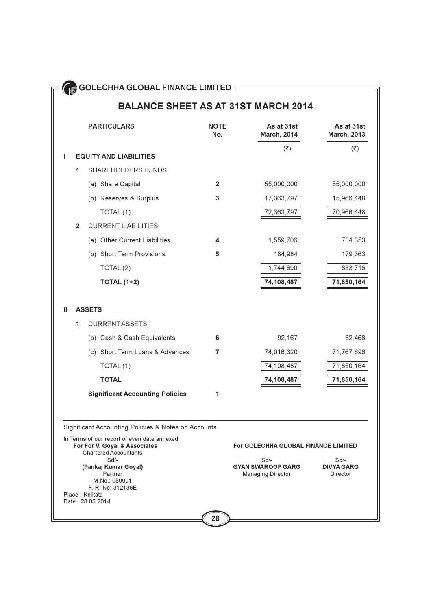## **BALANCE SHEET AS AT 31ST MARCH 2014**

|   |                | <b>PARTICULARS</b>                                                                                 | <b>NOTE</b><br>No. | As at 31st<br><b>March, 2014</b>    | As at 31st<br><b>March, 2013</b> |
|---|----------------|----------------------------------------------------------------------------------------------------|--------------------|-------------------------------------|----------------------------------|
| I |                | <b>EQUITY AND LIABILITIES</b>                                                                      |                    | $(\overline{\mathbf{z}})$           | $(\overline{\mathbf{z}})$        |
|   | 1              | SHAREHOLDERS FUNDS                                                                                 |                    |                                     |                                  |
|   |                |                                                                                                    |                    |                                     |                                  |
|   |                | (a) Share Capital                                                                                  | $\mathbf{2}$       | 55,000,000                          | 55,000,000                       |
|   |                | (b) Reserves & Surplus                                                                             | 3                  | 17,363,797                          | 15,966,448                       |
|   |                | TOTAL(1)                                                                                           |                    | 72,363,797                          | 70,966,448                       |
|   | $\overline{2}$ | <b>CURRENT LIABILITIES</b>                                                                         |                    |                                     |                                  |
|   |                | (a) Other Current Liabilities                                                                      | 4                  | 1,559,706                           | 704,353                          |
|   |                | (b) Short Term Provisions                                                                          | 5                  | 184,984                             | 179,363                          |
|   |                | TOTAL <sub>(2)</sub>                                                                               |                    | 1,744,690                           | 883,716                          |
|   |                | <b>TOTAL (1+2)</b>                                                                                 |                    | 74,108,487                          | 71,850,164                       |
|   |                |                                                                                                    |                    |                                     |                                  |
| Ш |                | <b>ASSETS</b>                                                                                      |                    |                                     |                                  |
|   | 1              | <b>CURRENTASSETS</b>                                                                               |                    |                                     |                                  |
|   |                | (b) Cash & Cash Equivalents                                                                        | 6                  | 92,167                              | 82,468                           |
|   |                | (c) Short Term Loans & Advances                                                                    | 7                  | 74,016,320                          | 71,767,696                       |
|   |                | TOTAL(1)                                                                                           |                    | 74,108,487                          | 71,850,164                       |
|   |                | <b>TOTAL</b>                                                                                       |                    | 74,108,487                          | 71,850,164                       |
|   |                | <b>Significant Accounting Policies</b>                                                             | 1                  |                                     |                                  |
|   |                |                                                                                                    |                    |                                     |                                  |
|   |                | Significant Accounting Policies & Notes on Accounts<br>In Terms of our report of even date annexed |                    |                                     |                                  |
|   |                | For For V. Goyal & Associates<br><b>Chartered Accountants</b>                                      |                    | For GOLECHHA GLOBAL FINANCE LIMITED |                                  |
|   |                | $Sd$ -<br>(Pankaj Kumar Goyal)                                                                     |                    | $Sd$ -<br><b>GYAN SWAROOP GARG</b>  | $Sd$ -<br><b>DIVYA GARG</b>      |
|   |                | Partner<br>M.No.: 059991                                                                           |                    | <b>Managing Director</b>            | Director                         |
|   |                | F. R. No. 312136E<br>Place: Kolkata<br>Date: 28.05.2014                                            |                    |                                     |                                  |
|   |                |                                                                                                    |                    |                                     |                                  |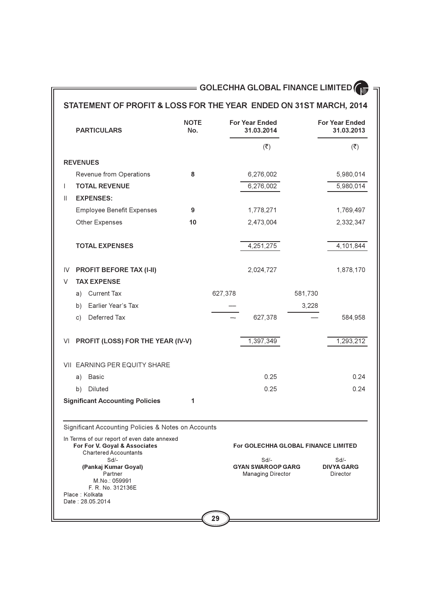## STATEMENT OF PROFIT & LOSS FOR THE YEAR ENDED ON 31ST MARCH, 2014

|                 | <b>PARTICULARS</b>                                                                                           | <b>NOTE</b><br>No. |         | <b>For Year Ended</b><br>31.03.2014                            |         | <b>For Year Ended</b><br>31.03.2013   |
|-----------------|--------------------------------------------------------------------------------------------------------------|--------------------|---------|----------------------------------------------------------------|---------|---------------------------------------|
|                 |                                                                                                              |                    |         | $(\overline{\mathbf{z}})$                                      |         | $(\overline{\mathbf{z}})$             |
| <b>REVENUES</b> |                                                                                                              |                    |         |                                                                |         |                                       |
|                 | Revenue from Operations                                                                                      | 8                  |         | 6,276,002                                                      |         | 5,980,014                             |
| I               | <b>TOTAL REVENUE</b>                                                                                         |                    |         | 6,276,002                                                      |         | 5,980,014                             |
| $\mathbf{H}$    | <b>EXPENSES:</b>                                                                                             |                    |         |                                                                |         |                                       |
|                 | <b>Employee Benefit Expenses</b>                                                                             | 9                  |         | 1,778,271                                                      |         | 1,769,497                             |
|                 | Other Expenses                                                                                               | 10                 |         | 2,473,004                                                      |         | 2,332,347                             |
|                 | <b>TOTAL EXPENSES</b>                                                                                        |                    |         | 4,251,275                                                      |         | 4,101,844                             |
| IV              | PROFIT BEFORE TAX (I-II)                                                                                     |                    |         | 2,024,727                                                      |         | 1,878,170                             |
| V               | <b>TAX EXPENSE</b>                                                                                           |                    |         |                                                                |         |                                       |
| a)              | <b>Current Tax</b>                                                                                           |                    | 627,378 |                                                                | 581,730 |                                       |
| b)              | Earlier Year's Tax                                                                                           |                    |         |                                                                | 3,228   |                                       |
| c)              | Deferred Tax                                                                                                 |                    |         | 627,378                                                        |         | 584,958                               |
| VI              | PROFIT (LOSS) FOR THE YEAR (IV-V)                                                                            |                    |         | 1,397,349                                                      |         | 1,293,212                             |
|                 | VII EARNING PER EQUITY SHARE                                                                                 |                    |         |                                                                |         |                                       |
| a)              | <b>Basic</b>                                                                                                 |                    |         | 0.25                                                           |         | 0.24                                  |
| b)              | Diluted                                                                                                      |                    |         | 0.25                                                           |         | 0.24                                  |
|                 | <b>Significant Accounting Policies</b>                                                                       | 1                  |         |                                                                |         |                                       |
|                 | Significant Accounting Policies & Notes on Accounts                                                          |                    |         |                                                                |         |                                       |
|                 | In Terms of our report of even date annexed<br>For For V. Goyal & Associates<br><b>Chartered Accountants</b> |                    |         | For GOLECHHA GLOBAL FINANCE LIMITED                            |         |                                       |
| Place: Kolkata  | $Sd$ -<br>(Pankaj Kumar Goyal)<br>Partner<br>M.No.: 059991<br>F. R. No. 312136E<br>Date: 28.05.2014          |                    |         | $Sd$ -<br><b>GYAN SWAROOP GARG</b><br><b>Managing Director</b> |         | Sd/-<br><b>DIVYA GARG</b><br>Director |
|                 |                                                                                                              |                    | 29      |                                                                |         |                                       |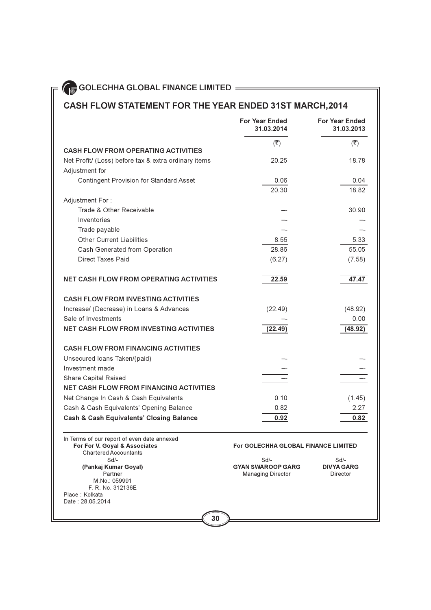## CASH FLOW STATEMENT FOR THE YEAR ENDED 31ST MARCH, 2014

|                                                                                                              | <b>For Year Ended</b><br>31.03.2014        | <b>For Year Ended</b><br>31.03.2013 |
|--------------------------------------------------------------------------------------------------------------|--------------------------------------------|-------------------------------------|
| <b>CASH FLOW FROM OPERATING ACTIVITIES</b>                                                                   | ( ₹)                                       | $(\overline{\mathbf{x}})$           |
| Net Profit/ (Loss) before tax & extra ordinary items<br>Adjustment for                                       | 20.25                                      | 18.78                               |
| <b>Contingent Provision for Standard Asset</b>                                                               | 0.06<br>20.30                              | 0.04<br>18.82                       |
| Adjustment For:                                                                                              |                                            |                                     |
| Trade & Other Receivable                                                                                     |                                            | 30.90                               |
| Inventories                                                                                                  |                                            |                                     |
| Trade payable                                                                                                |                                            |                                     |
| <b>Other Current Liabilities</b>                                                                             | 8.55                                       | 5.33                                |
| Cash Generated from Operation                                                                                | 28.86                                      | 55.05                               |
| <b>Direct Taxes Paid</b>                                                                                     | (6.27)                                     | (7.58)                              |
| <b>NET CASH FLOW FROM OPERATING ACTIVITIES</b>                                                               | 22.59                                      | 47.47                               |
| <b>CASH FLOW FROM INVESTING ACTIVITIES</b>                                                                   |                                            |                                     |
| Increase/ (Decrease) in Loans & Advances                                                                     | (22.49)                                    | (48.92)                             |
| Sale of Investments                                                                                          |                                            | 0.00                                |
| <b>NET CASH FLOW FROM INVESTING ACTIVITIES</b>                                                               | (22.49)                                    | (48.92)                             |
| <b>CASH FLOW FROM FINANCING ACTIVITIES</b>                                                                   |                                            |                                     |
| Unsecured loans Taken/(paid)                                                                                 |                                            |                                     |
| Investment made                                                                                              |                                            |                                     |
| Share Capital Raised                                                                                         |                                            |                                     |
| <b>NET CASH FLOW FROM FINANCING ACTIVITIES</b>                                                               |                                            |                                     |
| Net Change In Cash & Cash Equivalents                                                                        | 0.10                                       | (1.45)                              |
| Cash & Cash Equivalents' Opening Balance                                                                     | 0.82                                       | 2.27                                |
| <b>Cash &amp; Cash Equivalents' Closing Balance</b>                                                          | 0.92                                       | 0.82                                |
| In Terms of our report of even date annexed<br>For For V. Goyal & Associates<br><b>Chartered Accountants</b> | <b>For GOLECHHA GLOBAL FINANCE LIMITED</b> |                                     |
| $Sd/-$<br>(Pankai Kumar Goval)                                                                               | $Sd$ -<br><b>GYAN SWAROOP GARG</b>         | $Sd$ -<br><b>DIVYA GARG</b>         |

(Pankaj Kumar Goyal) Partner M.No.: 059991 F. R. No. 312136E Place: Kolkata Date: 28.05.2014

| $Sd/-$                   | $Sd/-$           |
|--------------------------|------------------|
| <b>GYAN SWAROOP GARG</b> | <b>DIVYA GAF</b> |
| <b>Managing Director</b> | Director         |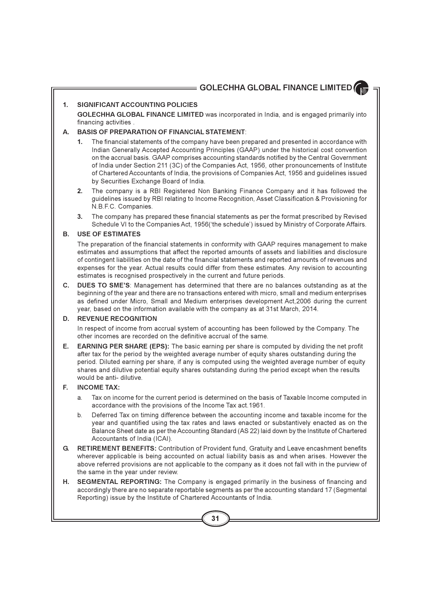#### $\mathbf{1}$ . SIGNIFICANT ACCOUNTING POLICIES

GOLECHHA GLOBAL FINANCE LIMITED was incorporated in India, and is engaged primarily into financing activities.

#### $\Delta$ **BASIS OF PREPARATION OF FINANCIAL STATEMENT.**

- $1.$ The financial statements of the company have been prepared and presented in accordance with Indian Generally Accepted Accounting Principles (GAAP) under the historical cost convention on the accrual basis. GAAP comprises accounting standards notified by the Central Government of India under Section 211 (3C) of the Companies Act, 1956, other pronouncements of Institute of Chartered Accountants of India, the provisions of Companies Act, 1956 and quidelines issued by Securities Exchange Board of India.
- 2. The company is a RBI Registered Non Banking Finance Company and it has followed the quidelines issued by RBI relating to Income Recognition, Asset Classification & Provisioning for N.B.F.C. Companies.
- $3.$ The company has prepared these financial statements as per the format prescribed by Revised Schedule VI to the Companies Act, 1956('the schedule') issued by Ministry of Corporate Affairs.

#### **USE OF ESTIMATES B.**

The preparation of the financial statements in conformity with GAAP requires management to make estimates and assumptions that affect the reported amounts of assets and liabilities and disclosure of contingent liabilities on the date of the financial statements and reported amounts of revenues and expenses for the year. Actual results could differ from these estimates. Any revision to accounting estimates is recognised prospectively in the current and future periods.

C. DUES TO SME'S: Management has determined that there are no balances outstanding as at the beginning of the year and there are no transactions entered with micro, small and medium enterprises as defined under Micro. Small and Medium enterprises development Act, 2006 during the current year, based on the information available with the company as at 31st March, 2014.

#### D. **REVENUE RECOGNITION**

In respect of income from accrual system of accounting has been followed by the Company. The other incomes are recorded on the definitive accrual of the same.

E., **EARNING PER SHARE (EPS):** The basic earning per share is computed by dividing the net profit after tax for the period by the weighted average number of equity shares outstanding during the period. Diluted earning per share, if any is computed using the weighted average number of equity shares and dilutive potential equity shares outstanding during the period except when the results would be anti- dilutive.

#### **INCOME TAX:** E.

- Tax on income for the current period is determined on the basis of Taxable Income computed in a. accordance with the provisions of the Income Tax act 1961.
- b. Deferred Tax on timing difference between the accounting income and taxable income for the year and quantified using the tax rates and laws enacted or substantively enacted as on the Balance Sheet date as per the Accounting Standard (AS 22) laid down by the Institute of Chartered Accountants of India (ICAI).
- RETIREMENT BENEFITS: Contribution of Provident fund, Gratuity and Leave encashment benefits G. wherever applicable is being accounted on actual liability basis as and when arises. However the above referred provisions are not applicable to the company as it does not fall with in the purview of the same in the year under review.
- Η. SEGMENTAL REPORTING: The Company is engaged primarily in the business of financing and accordingly there are no separate reportable segments as per the accounting standard 17 (Segmental Reporting) issue by the Institute of Chartered Accountants of India.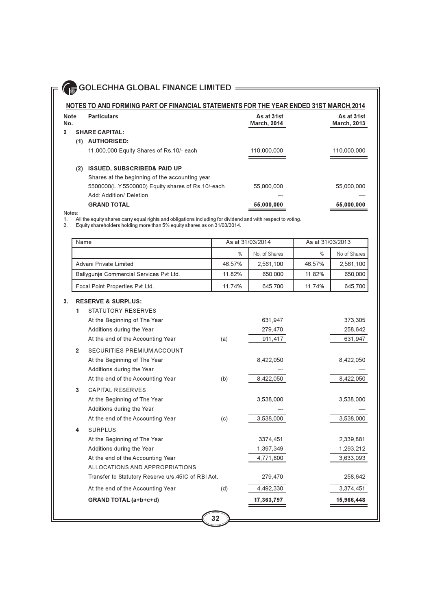### NOTES TO AND FORMING PART OF FINANCIAL STATEMENTS FOR THE YEAR ENDED 31ST MARCH, 2014

| <b>Note</b><br>No. | <b>Particulars</b>                                | As at 31st<br><b>March, 2014</b> | As at 31st<br><b>March, 2013</b> |
|--------------------|---------------------------------------------------|----------------------------------|----------------------------------|
| 2                  | <b>SHARE CAPITAL:</b>                             |                                  |                                  |
| (1)                | <b>AUTHORISED:</b>                                |                                  |                                  |
|                    | 11,000,000 Equity Shares of Rs.10/- each          | 110,000,000                      | 110,000,000                      |
|                    |                                                   |                                  |                                  |
| (2)                | <b>ISSUED, SUBSCRIBED&amp; PAID UP</b>            |                                  |                                  |
|                    | Shares at the beginning of the accounting year    |                                  |                                  |
|                    | 5500000(L.Y.5500000) Equity shares of Rs.10/-each | 55.000.000                       | 55.000.000                       |
|                    | Add: Addition/ Deletion                           |                                  |                                  |
|                    | <b>GRAND TOTAL</b>                                | 55,000,000                       | 55,000,000                       |

Notes:

All the equity shares carry equal rights and obligations including for dividend and with respect to voting.<br>Equity shareholders holding more than 5% equity shares as on 31/03/2014.  $1.$ 

 $2.$ 

|                | Name           |                                                    |               | As at 31/03/2014 | As at 31/03/2013 |              |
|----------------|----------------|----------------------------------------------------|---------------|------------------|------------------|--------------|
|                |                |                                                    | $\frac{0}{0}$ | No. of Shares    | $\%$             | No of Shares |
|                |                | Advani Private Limited                             | 46.57%        | 2,561,100        | 46.57%           | 2,561,100    |
|                |                | Ballygunje Commercial Services Pvt Ltd.            | 11.82%        | 650,000          | 11.82%           | 650,000      |
|                |                | Focal Point Properties Pvt Ltd.                    | 11.74%        | 645,700          | 11.74%           | 645,700      |
| 3 <sub>1</sub> |                | <b>RESERVE &amp; SURPLUS:</b>                      |               |                  |                  |              |
|                | 1              | STATUTORY RESERVES                                 |               |                  |                  |              |
|                |                | At the Beginning of The Year                       |               | 631,947          |                  | 373,305      |
|                |                | Additions during the Year                          |               | 279,470          |                  | 258,642      |
|                |                | At the end of the Accounting Year                  | (a)           | 911,417          |                  | 631,947      |
|                | $\overline{2}$ | SECURITIES PREMIUM ACCOUNT                         |               |                  |                  |              |
|                |                | At the Beginning of The Year                       |               | 8,422,050        |                  | 8,422,050    |
|                |                | Additions during the Year                          |               |                  |                  |              |
|                |                | At the end of the Accounting Year                  | (b)           | 8,422,050        |                  | 8,422,050    |
|                | 3              | <b>CAPITAL RESERVES</b>                            |               |                  |                  |              |
|                |                | At the Beginning of The Year                       |               | 3,538,000        |                  | 3,538,000    |
|                |                | Additions during the Year                          |               |                  |                  |              |
|                |                | At the end of the Accounting Year                  | (c)           | 3,538,000        |                  | 3,538,000    |
|                | 4              | <b>SURPLUS</b>                                     |               |                  |                  |              |
|                |                | At the Beginning of The Year                       |               | 3374,451         |                  | 2,339,881    |
|                |                | Additions during the Year                          |               | 1,397,349        |                  | 1,293,212    |
|                |                | At the end of the Accounting Year                  |               | 4,771,800        |                  | 3,633,093    |
|                |                | ALLOCATIONS AND APPROPRIATIONS                     |               |                  |                  |              |
|                |                | Transfer to Statutory Reserve u/s.45IC of RBI Act. |               | 279,470          |                  | 258,642      |
|                |                | At the end of the Accounting Year                  | (d)           | 4,492,330        |                  | 3,374,451    |
|                |                | <b>GRAND TOTAL (a+b+c+d)</b>                       |               | 17,363,797       |                  | 15,966,448   |
|                |                |                                                    |               |                  |                  |              |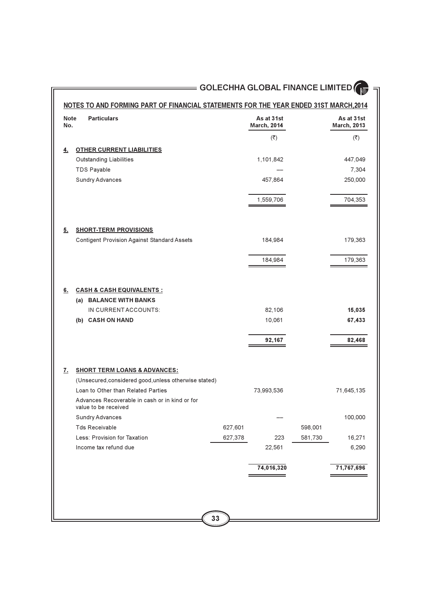## NOTES TO AND FORMING PART OF FINANCIAL STATEMENTS FOR THE YEAR ENDED 31ST MARCH, 2014

| <b>Note</b><br>No. | <b>Particulars</b>                                                                                           |         | As at 31st<br><b>March, 2014</b> |         | As at 31st<br><b>March, 2013</b> |
|--------------------|--------------------------------------------------------------------------------------------------------------|---------|----------------------------------|---------|----------------------------------|
|                    |                                                                                                              |         | $(\overline{\mathbf{z}})$        |         | $(\overline{\mathbf{z}})$        |
| <u>4.</u>          | <b>OTHER CURRENT LIABILITIES</b>                                                                             |         |                                  |         |                                  |
|                    | <b>Outstanding Liabilities</b>                                                                               |         | 1,101,842                        |         | 447,049                          |
|                    | <b>TDS Payable</b>                                                                                           |         |                                  |         | 7,304                            |
|                    | <b>Sundry Advances</b>                                                                                       |         | 457,864                          |         | 250,000                          |
|                    |                                                                                                              |         | 1,559,706                        |         | 704,353                          |
| 5.                 | <b>SHORT-TERM PROVISIONS</b>                                                                                 |         |                                  |         |                                  |
|                    | <b>Contigent Provision Against Standard Assets</b>                                                           |         | 184,984                          |         | 179,363                          |
|                    |                                                                                                              |         | 184,984                          |         | 179,363                          |
| <u>6.</u>          | <u>CASH &amp; CASH EQUIVALENTS :</u><br>(a) BALANCE WITH BANKS                                               |         |                                  |         |                                  |
|                    | IN CURRENT ACCOUNTS:                                                                                         |         | 82,106                           |         | 15,035                           |
|                    | (b) CASH ON HAND                                                                                             |         | 10,061                           |         | 67,433                           |
|                    |                                                                                                              |         | 92,167                           |         | 82,468                           |
| <u>z.</u>          | <b>SHORT TERM LOANS &amp; ADVANCES:</b>                                                                      |         |                                  |         |                                  |
|                    | (Unsecured, considered good, unless otherwise stated)                                                        |         |                                  |         |                                  |
|                    | Loan to Other than Related Parties<br>Advances Recoverable in cash or in kind or for<br>value to be received |         | 73,993,536                       |         | 71,645,135                       |
|                    | <b>Sundry Advances</b>                                                                                       |         |                                  |         | 100,000                          |
|                    | <b>Tds Receivable</b>                                                                                        | 627,601 |                                  | 598,001 |                                  |
|                    | Less: Provision for Taxation                                                                                 | 627,378 | 223                              | 581,730 | 16,271                           |
|                    | Income tax refund due                                                                                        |         | 22,561                           |         | 6,290                            |
|                    |                                                                                                              |         | 74,016,320                       |         | 71,767,696                       |
|                    |                                                                                                              |         |                                  |         |                                  |
|                    |                                                                                                              |         |                                  |         |                                  |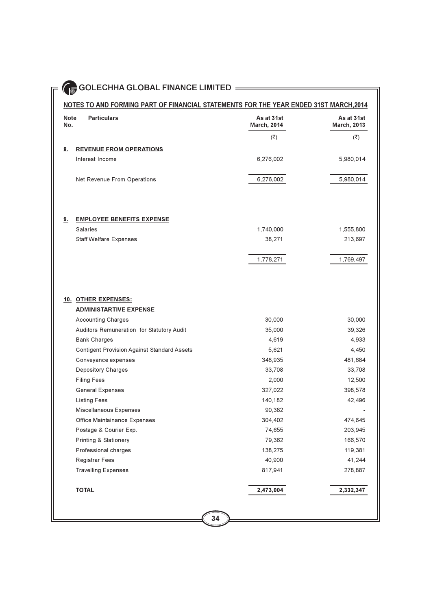| <b>Note</b><br>No. | <b>Particulars</b>                                 | As at 31st<br><b>March, 2014</b> | As at 31st<br><b>March, 2013</b> |
|--------------------|----------------------------------------------------|----------------------------------|----------------------------------|
|                    |                                                    | $(\overline{\zeta})$             | (₹)                              |
| <u>8.</u>          | <b>REVENUE FROM OPERATIONS</b>                     |                                  |                                  |
|                    | Interest Income                                    | 6,276,002                        | 5,980,014                        |
|                    | Net Revenue From Operations                        | 6,276,002                        | 5,980,014                        |
|                    |                                                    |                                  |                                  |
| <u>9.</u>          | <b>EMPLOYEE BENEFITS EXPENSE</b>                   |                                  |                                  |
|                    | Salaries                                           | 1,740,000                        | 1,555,800                        |
|                    | <b>Staff Welfare Expenses</b>                      | 38,271                           | 213,697                          |
|                    |                                                    | 1,778,271                        | 1,769,497                        |
|                    |                                                    |                                  |                                  |
|                    | 10. OTHER EXPENSES:                                |                                  |                                  |
|                    | <b>ADMINISTARTIVE EXPENSE</b>                      |                                  |                                  |
|                    | <b>Accounting Charges</b>                          | 30,000                           | 30,000                           |
|                    | Auditors Remuneration for Statutory Audit          | 35,000                           | 39,326                           |
|                    | <b>Bank Charges</b>                                | 4,619                            | 4,933                            |
|                    | <b>Contigent Provision Against Standard Assets</b> | 5,621                            | 4,450                            |
|                    | Conveyance expenses                                | 348,935                          | 481,684                          |
|                    | Depository Charges<br><b>Filing Fees</b>           | 33,708<br>2,000                  | 33,708                           |
|                    | <b>General Expenses</b>                            | 327,022                          | 12,500<br>398,578                |
|                    | <b>Listing Fees</b>                                | 140,182                          | 42,496                           |
|                    | Miscellaneous Expenses                             | 90,382                           |                                  |
|                    | Office Maintainance Expenses                       | 304,402                          | 474,645                          |
|                    | Postage & Courier Exp.                             | 74,655                           | 203,945                          |
|                    | <b>Printing &amp; Stationery</b>                   | 79,362                           | 166,570                          |
|                    | Professional charges                               | 138,275                          | 119,381                          |
|                    | Registrar Fees                                     | 40,900                           | 41,244                           |
|                    | <b>Travelling Expenses</b>                         | 817,941                          | 278,887                          |
|                    | <b>TOTAL</b>                                       | 2,473,004                        | 2,332,347                        |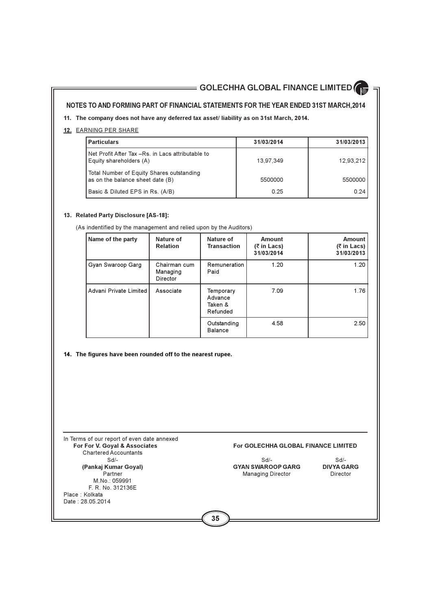### NOTES TO AND FORMING PART OF FINANCIAL STATEMENTS FOR THE YEAR ENDED 31ST MARCH, 2014

### 11. The company does not have any deferred tax asset/ liability as on 31st March, 2014.

### 12. EARNING PER SHARE

| <b>Particulars</b>                                                            | 31/03/2014 | 31/03/2013 |
|-------------------------------------------------------------------------------|------------|------------|
| Net Profit After Tax -Rs. in Lacs attributable to<br>Equity shareholders (A)  | 13.97.349  | 12,93,212  |
| Total Number of Equity Shares outstanding<br>as on the balance sheet date (B) | 5500000    | 5500000    |
| Basic & Diluted EPS in Rs. (A/B)                                              | 0.25       | 0.24       |

### 13. Related Party Disclosure [AS-18]:

(As indentified by the management and relied upon by the Auditors)

| Name of the party      | Nature of<br><b>Relation</b>         | Nature of<br><b>Transaction</b>             | <b>Amount</b><br>$(5 \in \text{Ln } Lacs)$<br>31/03/2014 | <b>Amount</b><br>$(5 \in \mathsf{Ln} \, \mathsf{Lacs})$<br>31/03/2013 |
|------------------------|--------------------------------------|---------------------------------------------|----------------------------------------------------------|-----------------------------------------------------------------------|
| Gyan Swaroop Garg      | Chairman cum<br>Managing<br>Director | Remuneration<br>Paid                        | 1.20                                                     | 1.20                                                                  |
| Advani Private Limited | Associate                            | Temporary<br>Advance<br>Taken &<br>Refunded | 7.09                                                     | 1.76                                                                  |
|                        |                                      | Outstanding<br>Balance                      | 4.58                                                     | 2.50                                                                  |

### 14. The figures have been rounded off to the nearest rupee.

| In Terms of our report of even date annexed<br>For For V. Goyal & Associates<br><b>Chartered Accountants</b> | <b>For GOLECHHA GLOBAL FINANCE LIMITED</b>           |                               |
|--------------------------------------------------------------------------------------------------------------|------------------------------------------------------|-------------------------------|
| $Sd/-$                                                                                                       | Sd                                                   | Sd                            |
| (Pankaj Kumar Goyal)<br>Partner<br>M.No.: 059991<br>F. R. No. 312136E                                        | <b>GYAN SWAROOP GARG</b><br><b>Managing Director</b> | <b>DIVYA GARG</b><br>Director |
| Place Kolkata<br>Date: 28 05 2014                                                                            |                                                      |                               |
|                                                                                                              | 35                                                   |                               |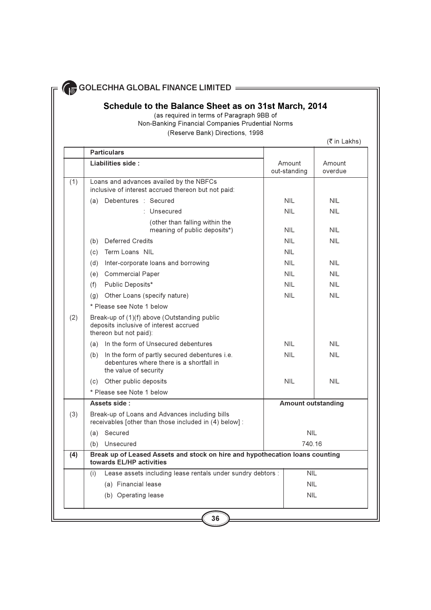## Schedule to the Balance Sheet as on 31st March, 2014

(as required in terms of Paragraph 9BB of Non-Banking Financial Companies Prudential Norms

### (Reserve Bank) Directions, 1998

(₹ in Lakhs)

|     | <b>Particulars</b>                                                                                                     |                           |                   |
|-----|------------------------------------------------------------------------------------------------------------------------|---------------------------|-------------------|
|     | Liabilities side:                                                                                                      | Amount<br>out-standing    | Amount<br>overdue |
| (1) | Loans and advances availed by the NBFCs<br>inclusive of interest accrued thereon but not paid:                         |                           |                   |
|     | (a) Debentures : Secured                                                                                               | <b>NII</b>                | <b>NIL</b>        |
|     | : Unsecured                                                                                                            | NIL.                      | <b>NIL</b>        |
|     | (other than falling within the<br>meaning of public deposits*)                                                         | <b>NIL</b>                | <b>NIL</b>        |
|     | (b) Deferred Credits                                                                                                   | <b>NIL</b>                | <b>NIL</b>        |
|     | (c) Term Loans NIL                                                                                                     | <b>NII</b>                |                   |
|     | Inter-corporate loans and borrowing<br>(d)                                                                             | <b>NIL</b>                | <b>NIL</b>        |
|     | (e) Commercial Paper                                                                                                   | <b>NIL</b>                | <b>NIL</b>        |
|     | (f) Public Deposits*                                                                                                   | <b>NII</b>                | <b>NIL</b>        |
|     | Other Loans (specify nature)<br>(q)                                                                                    | <b>NIL</b>                | <b>NII</b>        |
|     | * Please see Note 1 below                                                                                              |                           |                   |
| (2) | Break-up of (1)(f) above (Outstanding public<br>deposits inclusive of interest accrued<br>thereon but not paid):       |                           |                   |
|     | (a) In the form of Unsecured debentures                                                                                | <b>NIL</b>                | <b>NIL</b>        |
|     | (b) In the form of partly secured debentures i.e.<br>debentures where there is a shortfall in<br>the value of security | <b>NIL</b>                | <b>NIL</b>        |
|     | (c) Other public deposits                                                                                              | <b>NIL</b>                | <b>NIL</b>        |
|     | * Please see Note 1 below                                                                                              |                           |                   |
|     | Assets side:                                                                                                           | <b>Amount outstanding</b> |                   |
| (3) | Break-up of Loans and Advances including bills<br>receivables [other than those included in (4) below] :               |                           |                   |
|     | Secured<br>(a)                                                                                                         | <b>NIL</b>                |                   |
|     | (b) Unsecured                                                                                                          | 740.16                    |                   |
| (4) | Break up of Leased Assets and stock on hire and hypothecation loans counting<br>towards EL/HP activities               |                           |                   |
|     | Lease assets including lease rentals under sundry debtors :<br>(i)                                                     | <b>NIL</b>                |                   |
|     | (a) Financial lease                                                                                                    | <b>NII</b>                |                   |
|     | (b) Operating lease                                                                                                    | <b>NIL</b>                |                   |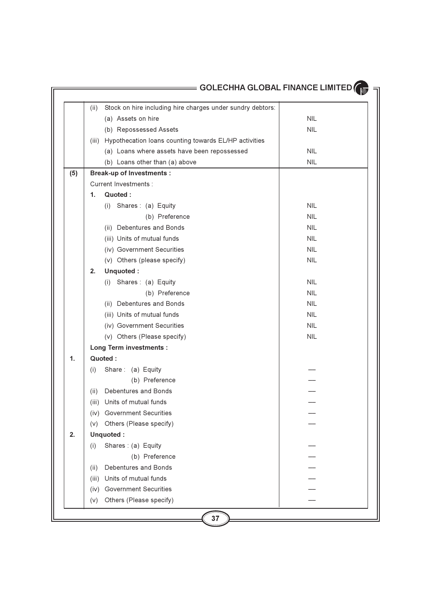|     | Stock on hire including hire charges under sundry debtors:<br>(ii) |            |
|-----|--------------------------------------------------------------------|------------|
|     | (a) Assets on hire                                                 | <b>NIL</b> |
|     | (b) Repossessed Assets                                             | <b>NIL</b> |
|     | Hypothecation loans counting towards EL/HP activities<br>(iii)     |            |
|     | (a) Loans where assets have been repossessed                       | <b>NIL</b> |
|     | (b) Loans other than (a) above                                     | <b>NIL</b> |
| (5) | <b>Break-up of Investments:</b>                                    |            |
|     | Current Investments :                                              |            |
|     | Quoted:<br>1.                                                      |            |
|     | (i) Shares: (a) Equity                                             | <b>NIL</b> |
|     | (b) Preference                                                     | <b>NIL</b> |
|     | (ii) Debentures and Bonds                                          | <b>NIL</b> |
|     | (iii) Units of mutual funds                                        | <b>NIL</b> |
|     | (iv) Government Securities                                         | <b>NIL</b> |
|     | (v) Others (please specify)                                        | <b>NIL</b> |
|     | Unquoted:<br>2.                                                    |            |
|     | (i) Shares: (a) Equity                                             | <b>NIL</b> |
|     | (b) Preference                                                     | <b>NIL</b> |
|     | (ii) Debentures and Bonds                                          | <b>NIL</b> |
|     | (iii) Units of mutual funds                                        | <b>NIL</b> |
|     | (iv) Government Securities                                         | <b>NIL</b> |
|     | (v) Others (Please specify)                                        | <b>NIL</b> |
|     | <b>Long Term investments:</b>                                      |            |
| 1.  | Quoted:                                                            |            |
|     | Share: (a) Equity<br>(i)                                           |            |
|     | (b) Preference                                                     |            |
|     | Debentures and Bonds<br>(ii)                                       |            |
|     | (iii) Units of mutual funds                                        |            |
|     | (iv) Government Securities                                         |            |
|     | Others (Please specify)<br>(V)                                     |            |
| 2.  | Unquoted:                                                          |            |
|     | Shares: (a) Equity<br>(i)                                          |            |
|     | (b) Preference                                                     |            |
|     | Debentures and Bonds<br>(ii)                                       |            |
|     | Units of mutual funds<br>(iii)                                     |            |
|     | <b>Government Securities</b><br>(iv)                               |            |
|     | Others (Please specify)<br>(V)                                     |            |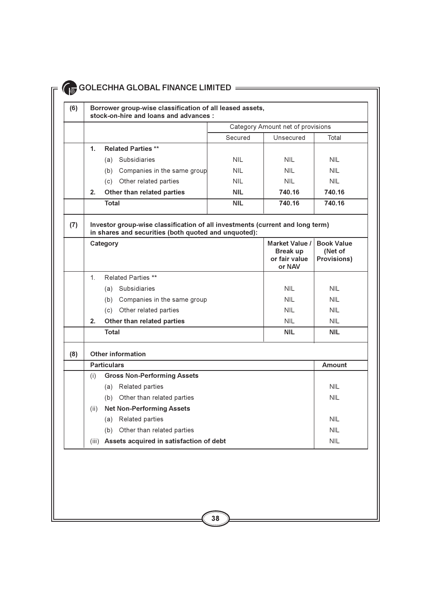#### GOLECHHA GLOBAL FINANCE LIMITED  $(6)$ Borrower group-wise classification of all leased assets, stock-on-hire and loans and advances : Category Amount net of provisions Secured Unsecured Total **Related Parties \*\***  $1<sub>1</sub>$ (a) Subsidiaries **NIL NIL NIL** (b) Companies in the same group **NII NII NII** (c) Other related parties **NIL NIL NIL** 740.16  $2.$ Other than related parties **NIL** 740.16

 $NII$ 

 $740.16$ 

 $740.16$ 

**Amount** 

### Investor group-wise classification of all investments (current and long term)  $(7)$ in shares and securities (both quoted and unquoted):

|    | Category                           | Market Value /<br><b>Break up</b><br>or fair value<br>or NAV | <b>Book Value</b><br>(Net of<br><b>Provisions)</b> |
|----|------------------------------------|--------------------------------------------------------------|----------------------------------------------------|
| 1. | <b>Related Parties **</b>          |                                                              |                                                    |
|    | <b>Subsidiaries</b><br>(a)         | <b>NIL</b>                                                   | <b>NIL</b>                                         |
|    | Companies in the same group<br>(b) | <b>NIL</b>                                                   | <b>NIL</b>                                         |
|    | Other related parties<br>(C)       | <b>NIL</b>                                                   | <b>NIL</b>                                         |
| 2. | Other than related parties         | <b>NIL</b>                                                   | <b>NIL</b>                                         |
|    | Total                              | <b>NIL</b>                                                   | <b>NIL</b>                                         |
|    |                                    |                                                              |                                                    |

### $(8)$ **Other information Particulars**  $(i)$ Gross Non-Performing Assets

Total

|                | <b>Property Pulling Assets</b>          |            |
|----------------|-----------------------------------------|------------|
|                | Related parties<br>a)                   | <b>NIL</b> |
|                | Other than related parties<br>(b)       | <b>NIL</b> |
| (ii)           | <b>Net Non-Performing Assets</b>        |            |
|                | Related parties<br>a)                   | <b>NIL</b> |
|                | Other than related parties<br>(b)       | <b>NIL</b> |
| $\mathbf{III}$ | Assets acquired in satisfaction of debt | <b>NIL</b> |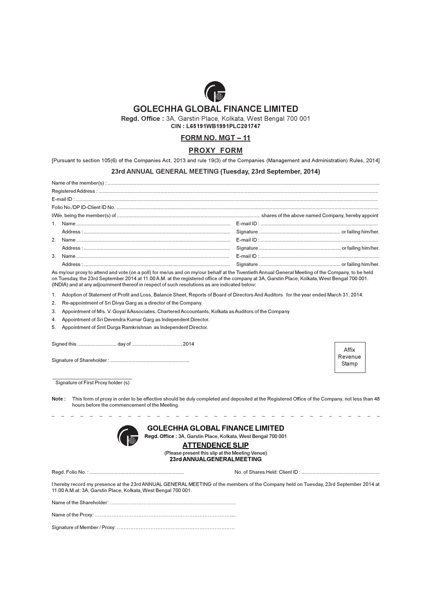

Regd. Office: 3A, Garstin Place, Kolkata, West Bengal 700 001

CIN: L65191WB1991PLC201747

### FORM NO. MGT-11

### **PROXY FORM**

[Pursuant to section 105(6) of the Companies Act, 2013 and rule 19(3) of the Companies (Management and Administration) Rules, 2014]

### 23rd ANNUAL GENERAL MEETING (Tuesday, 23rd September, 2014)

As my/our proxy to attend and vote (on a poll) for me/us and on my/our behalf at the Twentieth Annual General Meeting of the Company, to be held on Tuesday, the 23rd September 2014 at 11.00 A.M. at the registered office of the company at 3A, Garstin Place, Kolkata, West Bengal 700 001. (INDIA) and at any adjournment thereof in respect of such resolutions as are indicated below:

- Adoption of Statement of Profit and Loss, Balance Sheet, Reports of Board of Directors And Auditors for the year ended March 31, 2014.  $\mathbf{1}$
- $\overline{2}$ . Re-appointment of Sri Divya Garg as a director of the Company.
- 3. Appointment of M/s. V. Goyal & Associates, Chartered Accountants, Kolkata as Auditors of the Company
- 4. Appointment of Sri Devendra Kumar Garg as Independent Director.
- Appointment of Smt Durga Ramkrishnan as Independent Director. 5

Affix Revenue Stamp

Signature of First Proxy holder (s)

Note: This form of proxy in order to be effective should be duly completed and deposited at the Registered Office of the Company, not less than 48 hours before the commencement of the Meeting.



**GOLECHHA GLOBAL FINANCE LIMITED** Regd. Office: 3A, Garstin Place, Kolkata, West Bengal 700 001

### **ATTENDENCE SLIP**

(Please present this slip at the Meeting Venue) 23rd ANNUALGENERALMEETING

I hereby record my presence at the 23rd ANNUAL GENERAL MEETING of the members of the Company held on Tuesday, 23rd September 2014 at 11.00 A.M.at: 3A, Garstin Place, Kolkata, West Bengal 700 001.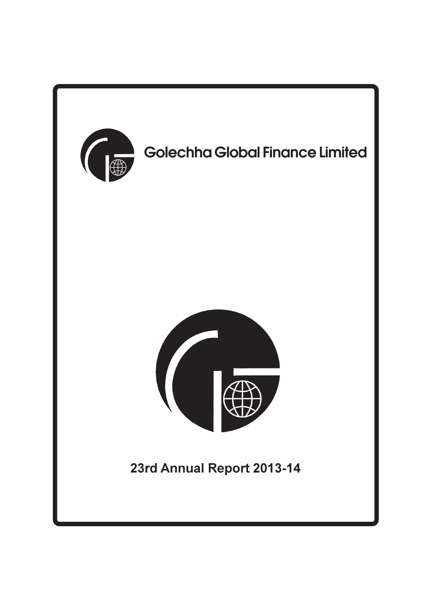

# **Golechha Global Finance Limited**



## 23rd Annual Report 2013-14